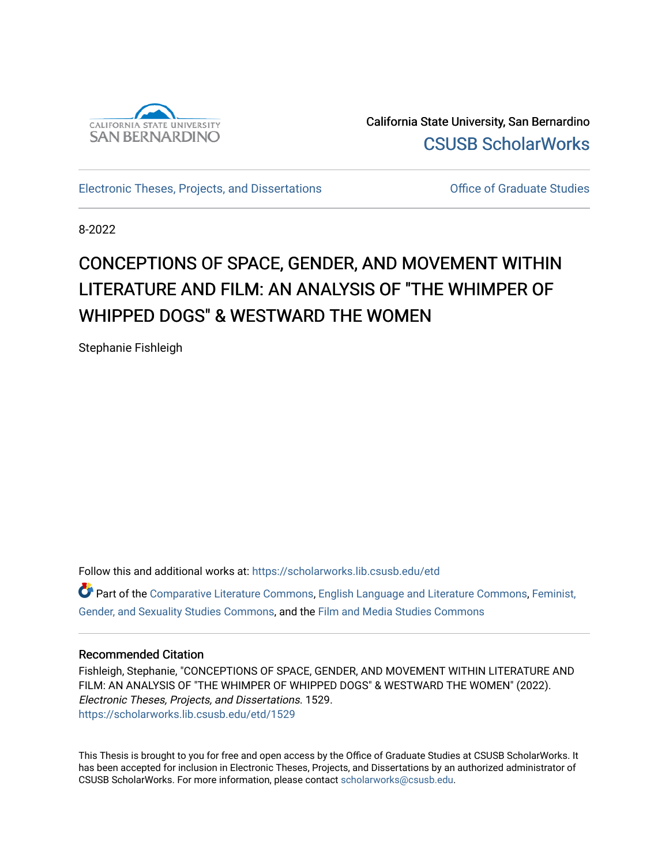

California State University, San Bernardino [CSUSB ScholarWorks](https://scholarworks.lib.csusb.edu/) 

[Electronic Theses, Projects, and Dissertations](https://scholarworks.lib.csusb.edu/etd) [Office of Graduate Studies](https://scholarworks.lib.csusb.edu/grad-studies) 

8-2022

### CONCEPTIONS OF SPACE, GENDER, AND MOVEMENT WITHIN LITERATURE AND FILM: AN ANALYSIS OF "THE WHIMPER OF WHIPPED DOGS" & WESTWARD THE WOMEN

Stephanie Fishleigh

Follow this and additional works at: [https://scholarworks.lib.csusb.edu/etd](https://scholarworks.lib.csusb.edu/etd?utm_source=scholarworks.lib.csusb.edu%2Fetd%2F1529&utm_medium=PDF&utm_campaign=PDFCoverPages) 

Part of the [Comparative Literature Commons](https://network.bepress.com/hgg/discipline/454?utm_source=scholarworks.lib.csusb.edu%2Fetd%2F1529&utm_medium=PDF&utm_campaign=PDFCoverPages), [English Language and Literature Commons,](https://network.bepress.com/hgg/discipline/455?utm_source=scholarworks.lib.csusb.edu%2Fetd%2F1529&utm_medium=PDF&utm_campaign=PDFCoverPages) [Feminist,](https://network.bepress.com/hgg/discipline/559?utm_source=scholarworks.lib.csusb.edu%2Fetd%2F1529&utm_medium=PDF&utm_campaign=PDFCoverPages) [Gender, and Sexuality Studies Commons](https://network.bepress.com/hgg/discipline/559?utm_source=scholarworks.lib.csusb.edu%2Fetd%2F1529&utm_medium=PDF&utm_campaign=PDFCoverPages), and the [Film and Media Studies Commons](https://network.bepress.com/hgg/discipline/563?utm_source=scholarworks.lib.csusb.edu%2Fetd%2F1529&utm_medium=PDF&utm_campaign=PDFCoverPages) 

#### Recommended Citation

Fishleigh, Stephanie, "CONCEPTIONS OF SPACE, GENDER, AND MOVEMENT WITHIN LITERATURE AND FILM: AN ANALYSIS OF "THE WHIMPER OF WHIPPED DOGS" & WESTWARD THE WOMEN" (2022). Electronic Theses, Projects, and Dissertations. 1529. [https://scholarworks.lib.csusb.edu/etd/1529](https://scholarworks.lib.csusb.edu/etd/1529?utm_source=scholarworks.lib.csusb.edu%2Fetd%2F1529&utm_medium=PDF&utm_campaign=PDFCoverPages) 

This Thesis is brought to you for free and open access by the Office of Graduate Studies at CSUSB ScholarWorks. It has been accepted for inclusion in Electronic Theses, Projects, and Dissertations by an authorized administrator of CSUSB ScholarWorks. For more information, please contact [scholarworks@csusb.edu](mailto:scholarworks@csusb.edu).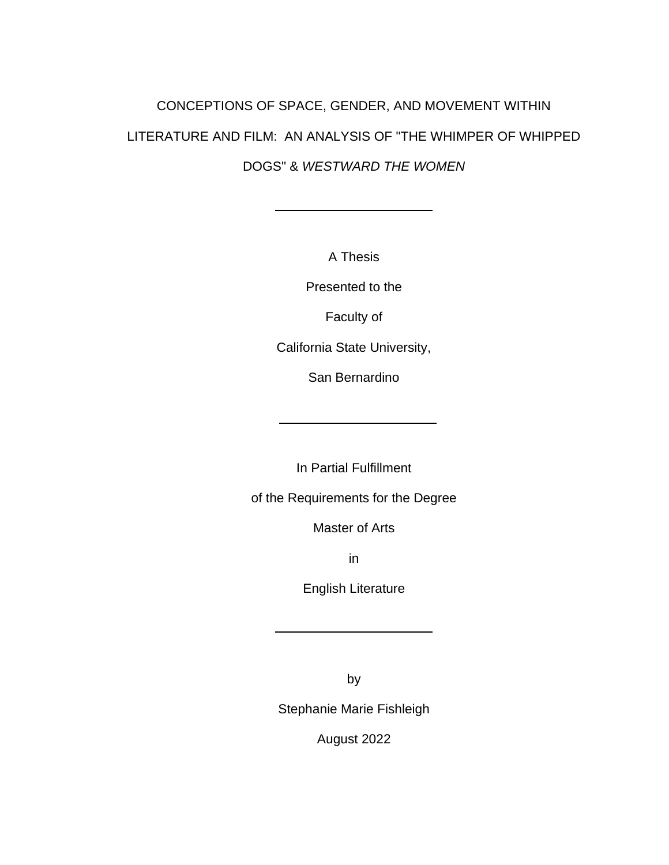# CONCEPTIONS OF SPACE, GENDER, AND MOVEMENT WITHIN LITERATURE AND FILM: AN ANALYSIS OF "THE WHIMPER OF WHIPPED DOGS" & *WESTWARD THE WOMEN*

A Thesis

Presented to the

Faculty of

California State University,

San Bernardino

In Partial Fulfillment

of the Requirements for the Degree

Master of Arts

in

English Literature

by

Stephanie Marie Fishleigh

August 2022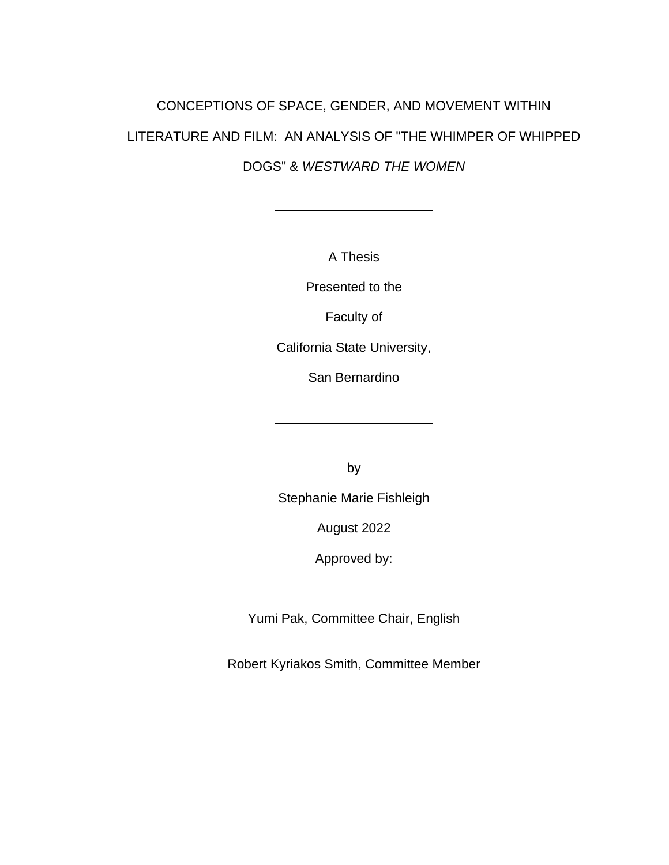# CONCEPTIONS OF SPACE, GENDER, AND MOVEMENT WITHIN LITERATURE AND FILM: AN ANALYSIS OF "THE WHIMPER OF WHIPPED DOGS" & *WESTWARD THE WOMEN*

A Thesis

Presented to the

Faculty of

California State University,

San Bernardino

by

Stephanie Marie Fishleigh

August 2022

Approved by:

Yumi Pak, Committee Chair, English

Robert Kyriakos Smith, Committee Member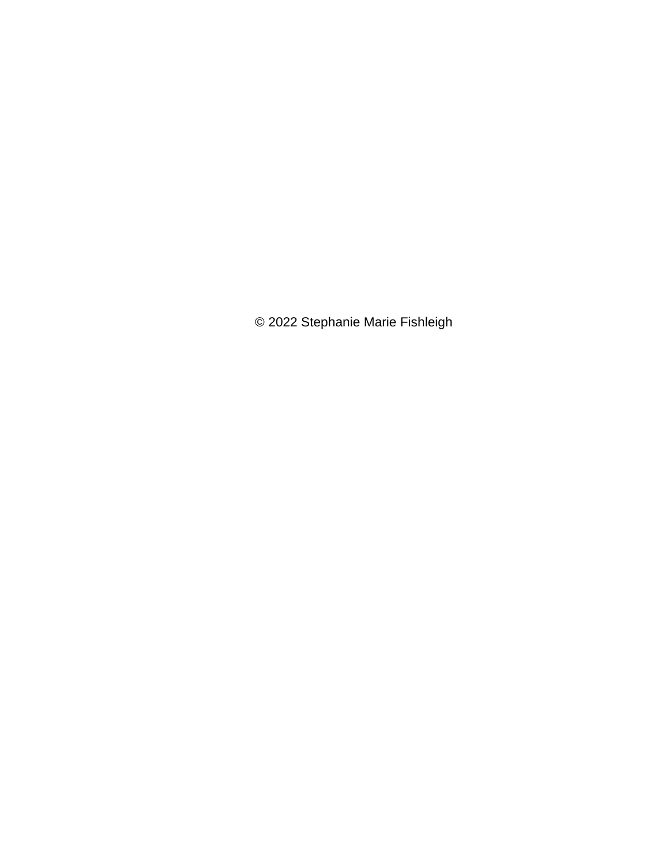© 2022 Stephanie Marie Fishleigh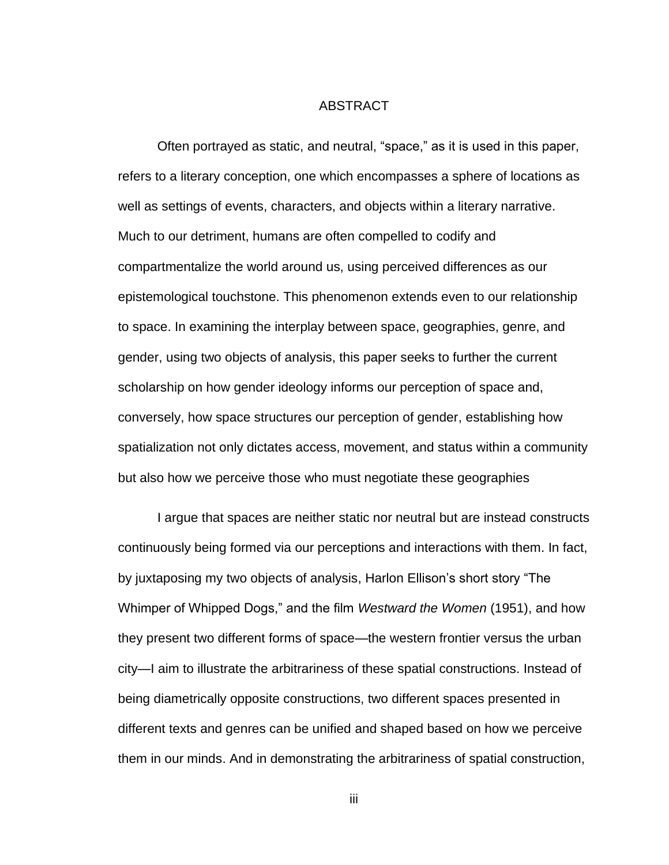#### ABSTRACT

<span id="page-4-0"></span>Often portrayed as static, and neutral, "space," as it is used in this paper, refers to a literary conception, one which encompasses a sphere of locations as well as settings of events, characters, and objects within a literary narrative. Much to our detriment, humans are often compelled to codify and compartmentalize the world around us, using perceived differences as our epistemological touchstone. This phenomenon extends even to our relationship to space. In examining the interplay between space, geographies, genre, and gender, using two objects of analysis, this paper seeks to further the current scholarship on how gender ideology informs our perception of space and, conversely, how space structures our perception of gender, establishing how spatialization not only dictates access, movement, and status within a community but also how we perceive those who must negotiate these geographies

I argue that spaces are neither static nor neutral but are instead constructs continuously being formed via our perceptions and interactions with them. In fact, by juxtaposing my two objects of analysis, Harlon Ellison's short story "The Whimper of Whipped Dogs," and the film *Westward the Women* (1951), and how they present two different forms of space—the western frontier versus the urban city—I aim to illustrate the arbitrariness of these spatial constructions. Instead of being diametrically opposite constructions, two different spaces presented in different texts and genres can be unified and shaped based on how we perceive them in our minds. And in demonstrating the arbitrariness of spatial construction,

iii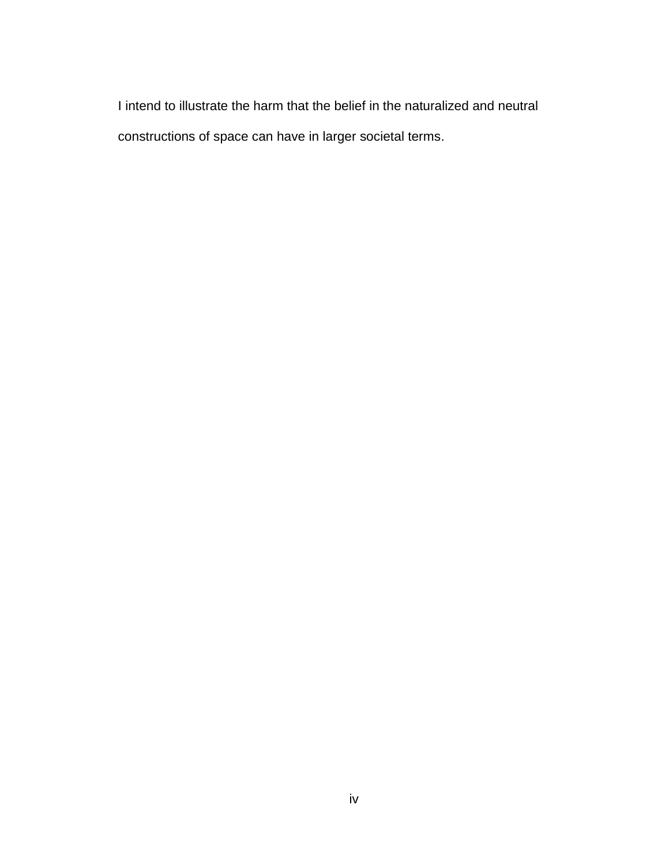I intend to illustrate the harm that the belief in the naturalized and neutral constructions of space can have in larger societal terms.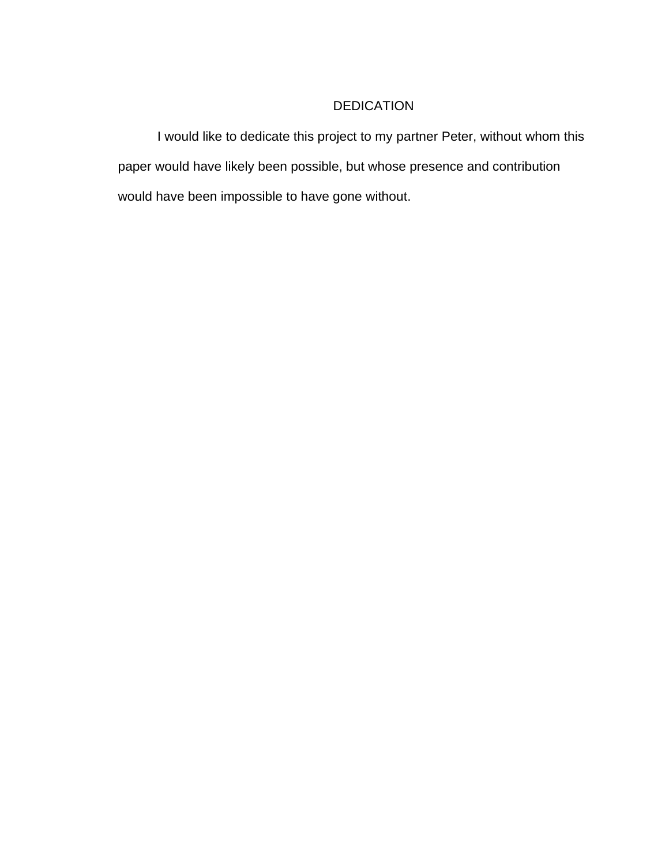### DEDICATION

I would like to dedicate this project to my partner Peter, without whom this paper would have likely been possible, but whose presence and contribution would have been impossible to have gone without.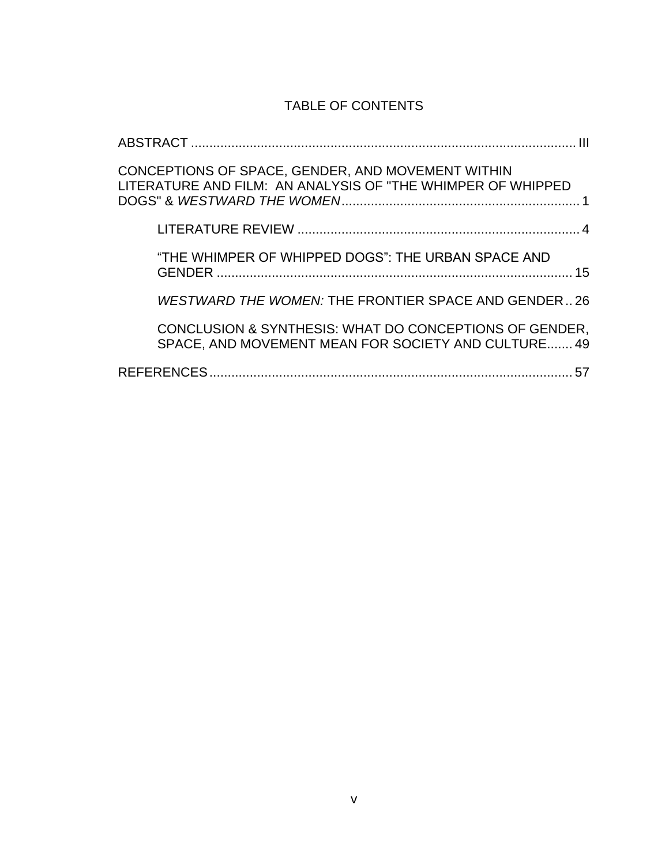### TABLE OF CONTENTS

| CONCEPTIONS OF SPACE, GENDER, AND MOVEMENT WITHIN<br>LITERATURE AND FILM: AN ANALYSIS OF "THE WHIMPER OF WHIPPED |
|------------------------------------------------------------------------------------------------------------------|
|                                                                                                                  |
| "THE WHIMPER OF WHIPPED DOGS": THE URBAN SPACE AND                                                               |
| WESTWARD THE WOMEN: THE FRONTIER SPACE AND GENDER26                                                              |
| CONCLUSION & SYNTHESIS: WHAT DO CONCEPTIONS OF GENDER,<br>SPACE, AND MOVEMENT MEAN FOR SOCIETY AND CULTURE 49    |
| <b>REFERENCES</b>                                                                                                |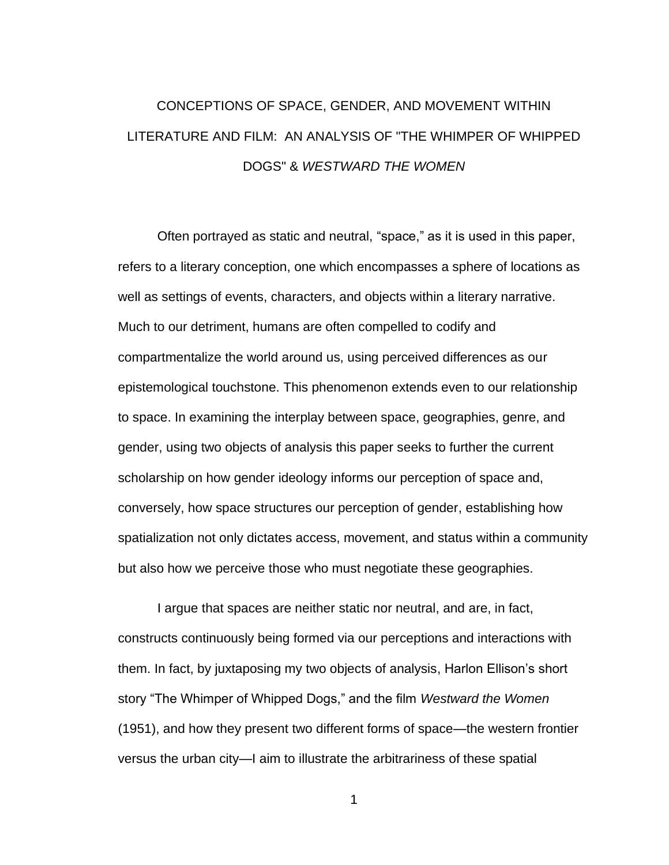## <span id="page-8-0"></span>CONCEPTIONS OF SPACE, GENDER, AND MOVEMENT WITHIN LITERATURE AND FILM: AN ANALYSIS OF "THE WHIMPER OF WHIPPED DOGS" & *WESTWARD THE WOMEN*

Often portrayed as static and neutral, "space," as it is used in this paper, refers to a literary conception, one which encompasses a sphere of locations as well as settings of events, characters, and objects within a literary narrative. Much to our detriment, humans are often compelled to codify and compartmentalize the world around us, using perceived differences as our epistemological touchstone. This phenomenon extends even to our relationship to space. In examining the interplay between space, geographies, genre, and gender, using two objects of analysis this paper seeks to further the current scholarship on how gender ideology informs our perception of space and, conversely, how space structures our perception of gender, establishing how spatialization not only dictates access, movement, and status within a community but also how we perceive those who must negotiate these geographies.

I argue that spaces are neither static nor neutral, and are, in fact, constructs continuously being formed via our perceptions and interactions with them. In fact, by juxtaposing my two objects of analysis, Harlon Ellison's short story "The Whimper of Whipped Dogs," and the film *Westward the Women*  (1951), and how they present two different forms of space—the western frontier versus the urban city—I aim to illustrate the arbitrariness of these spatial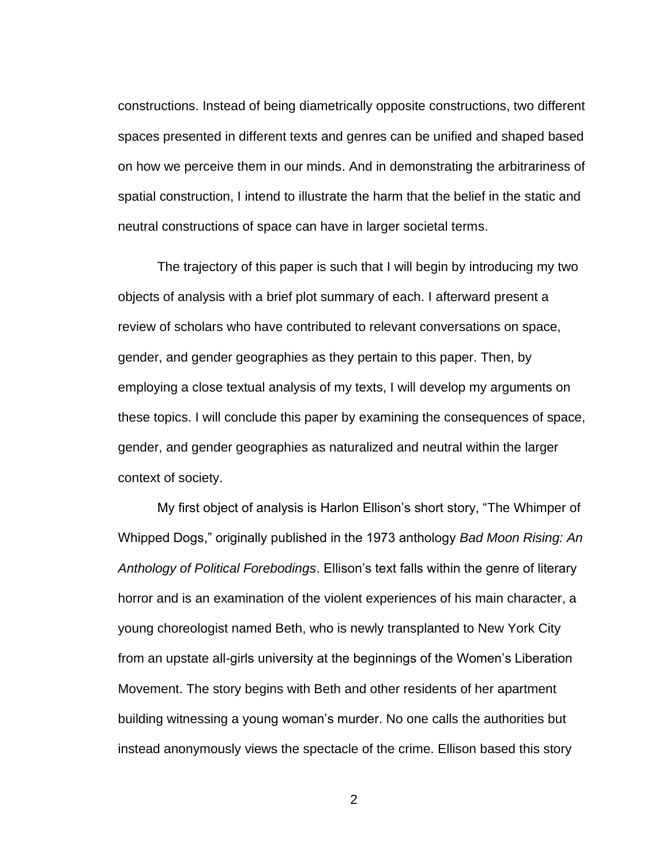constructions. Instead of being diametrically opposite constructions, two different spaces presented in different texts and genres can be unified and shaped based on how we perceive them in our minds. And in demonstrating the arbitrariness of spatial construction, I intend to illustrate the harm that the belief in the static and neutral constructions of space can have in larger societal terms.

The trajectory of this paper is such that I will begin by introducing my two objects of analysis with a brief plot summary of each. I afterward present a review of scholars who have contributed to relevant conversations on space, gender, and gender geographies as they pertain to this paper. Then, by employing a close textual analysis of my texts, I will develop my arguments on these topics. I will conclude this paper by examining the consequences of space, gender, and gender geographies as naturalized and neutral within the larger context of society.

My first object of analysis is Harlon Ellison's short story, "The Whimper of Whipped Dogs," originally published in the 1973 anthology *Bad Moon Rising: An Anthology of Political Forebodings*. Ellison's text falls within the genre of literary horror and is an examination of the violent experiences of his main character, a young choreologist named Beth, who is newly transplanted to New York City from an upstate all-girls university at the beginnings of the Women's Liberation Movement. The story begins with Beth and other residents of her apartment building witnessing a young woman's murder. No one calls the authorities but instead anonymously views the spectacle of the crime. Ellison based this story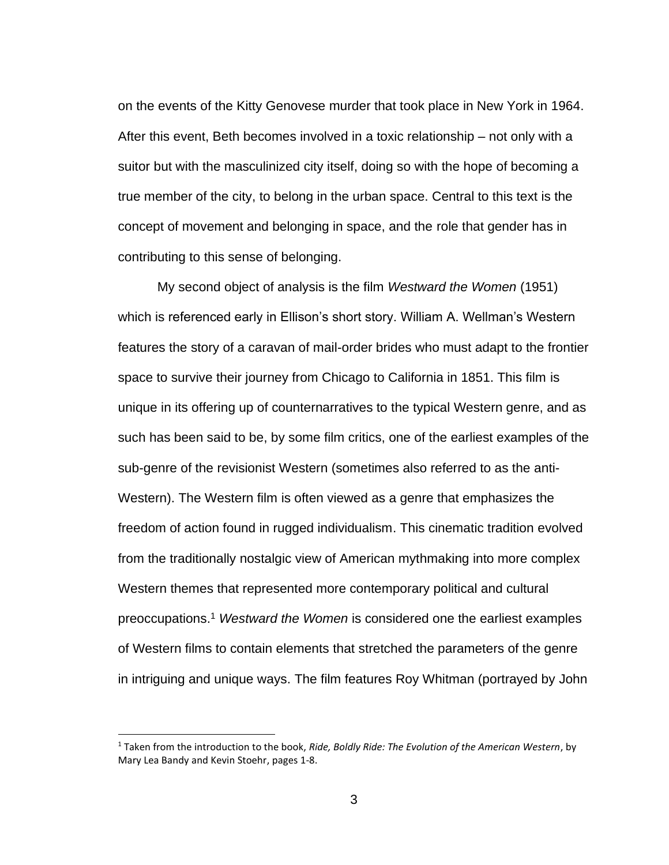on the events of the Kitty Genovese murder that took place in New York in 1964. After this event, Beth becomes involved in a toxic relationship – not only with a suitor but with the masculinized city itself, doing so with the hope of becoming a true member of the city, to belong in the urban space. Central to this text is the concept of movement and belonging in space, and the role that gender has in contributing to this sense of belonging.

My second object of analysis is the film *Westward the Women* (1951) which is referenced early in Ellison's short story. William A. Wellman's Western features the story of a caravan of mail-order brides who must adapt to the frontier space to survive their journey from Chicago to California in 1851. This film is unique in its offering up of counternarratives to the typical Western genre, and as such has been said to be, by some film critics, one of the earliest examples of the sub-genre of the revisionist Western (sometimes also referred to as the anti-Western). The Western film is often viewed as a genre that emphasizes the freedom of action found in rugged individualism. This cinematic tradition evolved from the traditionally nostalgic view of American mythmaking into more complex Western themes that represented more contemporary political and cultural preoccupations. <sup>1</sup> *Westward the Women* is considered one the earliest examples of Western films to contain elements that stretched the parameters of the genre in intriguing and unique ways. The film features Roy Whitman (portrayed by John

<sup>1</sup> Taken from the introduction to the book, *Ride, Boldly Ride: The Evolution of the American Western*, by Mary Lea Bandy and Kevin Stoehr, pages 1-8.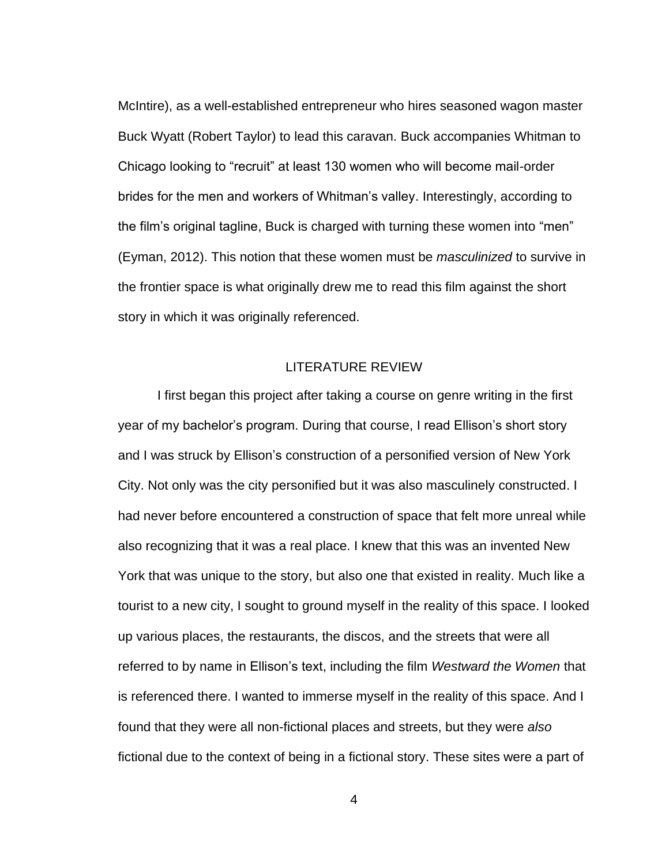McIntire), as a well-established entrepreneur who hires seasoned wagon master Buck Wyatt (Robert Taylor) to lead this caravan. Buck accompanies Whitman to Chicago looking to "recruit" at least 130 women who will become mail-order brides for the men and workers of Whitman's valley. Interestingly, according to the film's original tagline, Buck is charged with turning these women into "men" (Eyman, 2012). This notion that these women must be *masculinized* to survive in the frontier space is what originally drew me to read this film against the short story in which it was originally referenced.

### LITERATURE REVIEW

<span id="page-11-0"></span>I first began this project after taking a course on genre writing in the first year of my bachelor's program. During that course, I read Ellison's short story and I was struck by Ellison's construction of a personified version of New York City. Not only was the city personified but it was also masculinely constructed. I had never before encountered a construction of space that felt more unreal while also recognizing that it was a real place. I knew that this was an invented New York that was unique to the story, but also one that existed in reality. Much like a tourist to a new city, I sought to ground myself in the reality of this space. I looked up various places, the restaurants, the discos, and the streets that were all referred to by name in Ellison's text, including the film *Westward the Women* that is referenced there. I wanted to immerse myself in the reality of this space. And I found that they were all non-fictional places and streets, but they were *also* fictional due to the context of being in a fictional story. These sites were a part of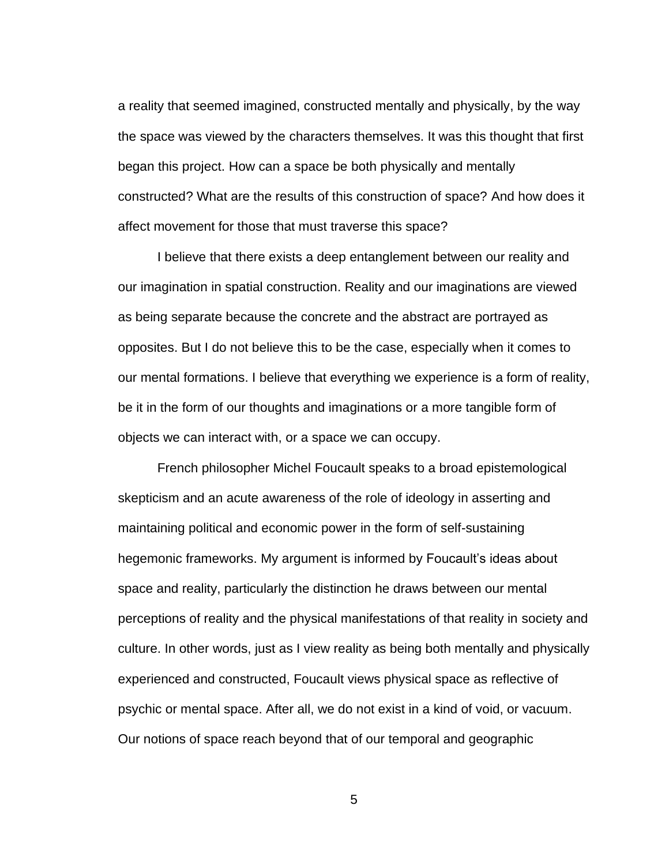a reality that seemed imagined, constructed mentally and physically, by the way the space was viewed by the characters themselves. It was this thought that first began this project. How can a space be both physically and mentally constructed? What are the results of this construction of space? And how does it affect movement for those that must traverse this space?

I believe that there exists a deep entanglement between our reality and our imagination in spatial construction. Reality and our imaginations are viewed as being separate because the concrete and the abstract are portrayed as opposites. But I do not believe this to be the case, especially when it comes to our mental formations. I believe that everything we experience is a form of reality, be it in the form of our thoughts and imaginations or a more tangible form of objects we can interact with, or a space we can occupy.

French philosopher Michel Foucault speaks to a broad epistemological skepticism and an acute awareness of the role of ideology in asserting and maintaining political and economic power in the form of self-sustaining hegemonic frameworks. My argument is informed by Foucault's ideas about space and reality, particularly the distinction he draws between our mental perceptions of reality and the physical manifestations of that reality in society and culture. In other words, just as I view reality as being both mentally and physically experienced and constructed, Foucault views physical space as reflective of psychic or mental space. After all, we do not exist in a kind of void, or vacuum. Our notions of space reach beyond that of our temporal and geographic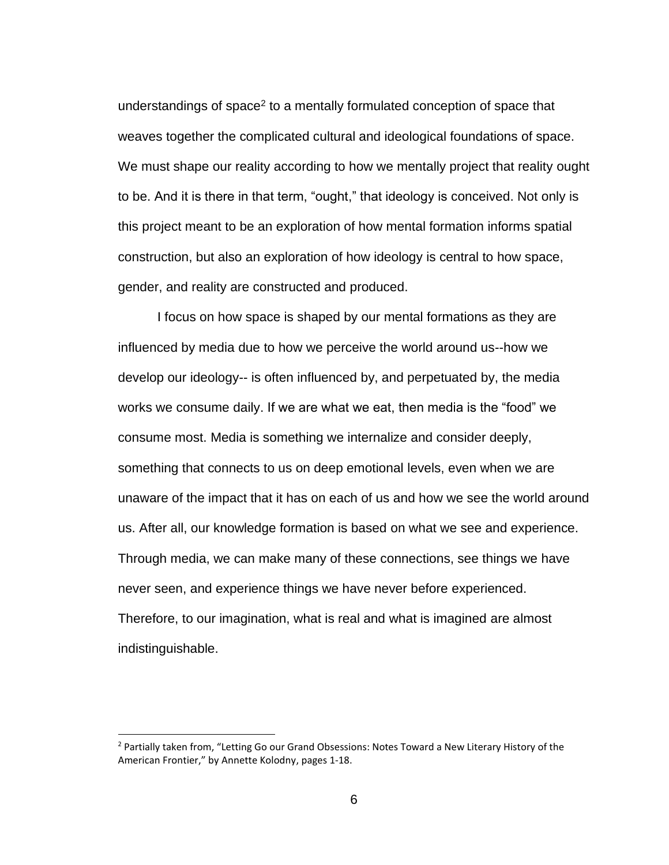understandings of space<sup>2</sup> to a mentally formulated conception of space that weaves together the complicated cultural and ideological foundations of space. We must shape our reality according to how we mentally project that reality ought to be. And it is there in that term, "ought," that ideology is conceived. Not only is this project meant to be an exploration of how mental formation informs spatial construction, but also an exploration of how ideology is central to how space, gender, and reality are constructed and produced.

I focus on how space is shaped by our mental formations as they are influenced by media due to how we perceive the world around us--how we develop our ideology-- is often influenced by, and perpetuated by, the media works we consume daily. If we are what we eat, then media is the "food" we consume most. Media is something we internalize and consider deeply, something that connects to us on deep emotional levels, even when we are unaware of the impact that it has on each of us and how we see the world around us. After all, our knowledge formation is based on what we see and experience. Through media, we can make many of these connections, see things we have never seen, and experience things we have never before experienced. Therefore, to our imagination, what is real and what is imagined are almost indistinguishable.

<sup>&</sup>lt;sup>2</sup> Partially taken from, "Letting Go our Grand Obsessions: Notes Toward a New Literary History of the American Frontier," by Annette Kolodny, pages 1-18.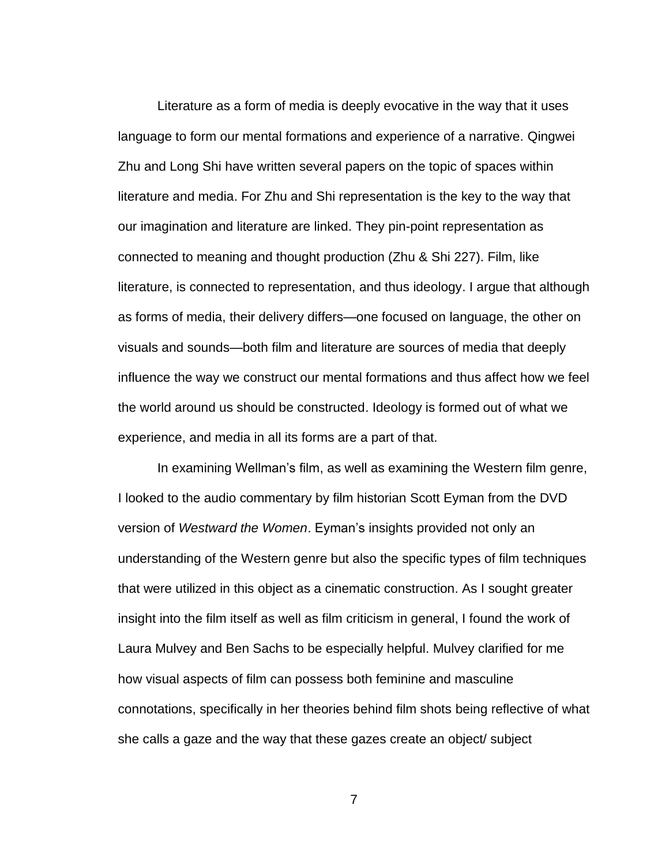Literature as a form of media is deeply evocative in the way that it uses language to form our mental formations and experience of a narrative. Qingwei Zhu and Long Shi have written several papers on the topic of spaces within literature and media. For Zhu and Shi representation is the key to the way that our imagination and literature are linked. They pin-point representation as connected to meaning and thought production (Zhu & Shi 227). Film, like literature, is connected to representation, and thus ideology. I argue that although as forms of media, their delivery differs—one focused on language, the other on visuals and sounds—both film and literature are sources of media that deeply influence the way we construct our mental formations and thus affect how we feel the world around us should be constructed. Ideology is formed out of what we experience, and media in all its forms are a part of that.

In examining Wellman's film, as well as examining the Western film genre, I looked to the audio commentary by film historian Scott Eyman from the DVD version of *Westward the Women*. Eyman's insights provided not only an understanding of the Western genre but also the specific types of film techniques that were utilized in this object as a cinematic construction. As I sought greater insight into the film itself as well as film criticism in general, I found the work of Laura Mulvey and Ben Sachs to be especially helpful. Mulvey clarified for me how visual aspects of film can possess both feminine and masculine connotations, specifically in her theories behind film shots being reflective of what she calls a gaze and the way that these gazes create an object/ subject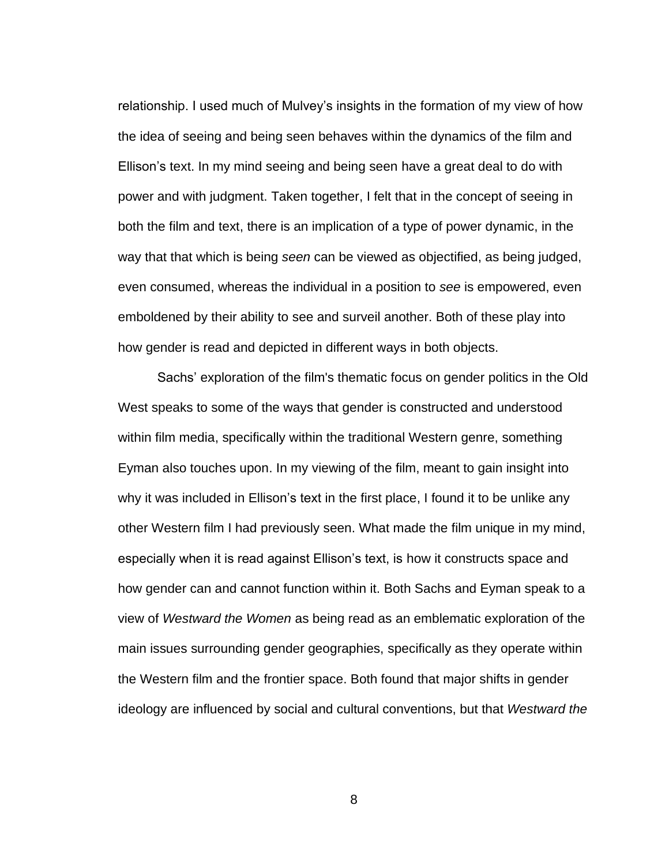relationship. I used much of Mulvey's insights in the formation of my view of how the idea of seeing and being seen behaves within the dynamics of the film and Ellison's text. In my mind seeing and being seen have a great deal to do with power and with judgment. Taken together, I felt that in the concept of seeing in both the film and text, there is an implication of a type of power dynamic, in the way that that which is being *seen* can be viewed as objectified, as being judged, even consumed, whereas the individual in a position to *see* is empowered, even emboldened by their ability to see and surveil another. Both of these play into how gender is read and depicted in different ways in both objects.

Sachs' exploration of the film's thematic focus on gender politics in the Old West speaks to some of the ways that gender is constructed and understood within film media, specifically within the traditional Western genre, something Eyman also touches upon. In my viewing of the film, meant to gain insight into why it was included in Ellison's text in the first place, I found it to be unlike any other Western film I had previously seen. What made the film unique in my mind, especially when it is read against Ellison's text, is how it constructs space and how gender can and cannot function within it. Both Sachs and Eyman speak to a view of *Westward the Women* as being read as an emblematic exploration of the main issues surrounding gender geographies, specifically as they operate within the Western film and the frontier space. Both found that major shifts in gender ideology are influenced by social and cultural conventions, but that *Westward the*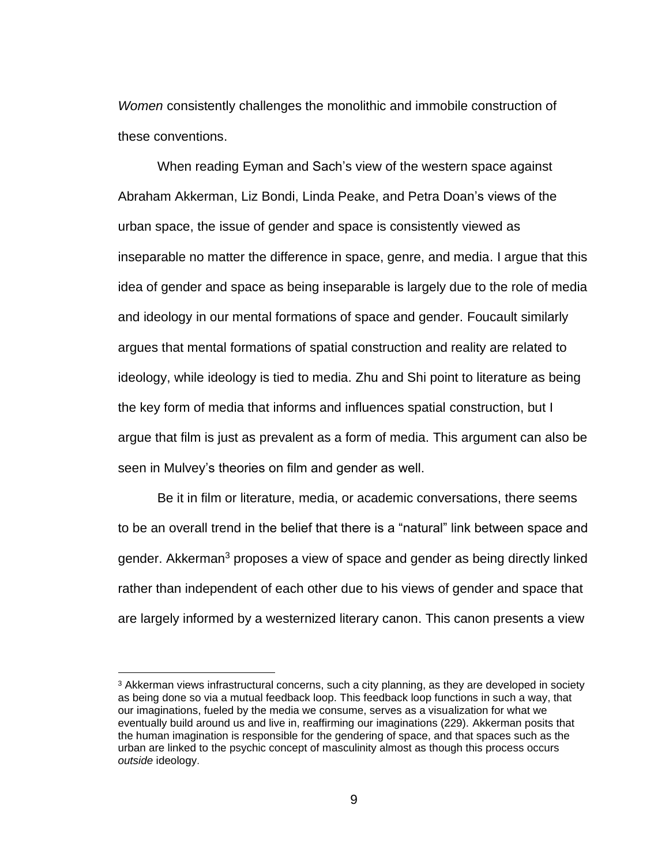*Women* consistently challenges the monolithic and immobile construction of these conventions.

When reading Eyman and Sach's view of the western space against Abraham Akkerman, Liz Bondi, Linda Peake, and Petra Doan's views of the urban space, the issue of gender and space is consistently viewed as inseparable no matter the difference in space, genre, and media. I argue that this idea of gender and space as being inseparable is largely due to the role of media and ideology in our mental formations of space and gender. Foucault similarly argues that mental formations of spatial construction and reality are related to ideology, while ideology is tied to media. Zhu and Shi point to literature as being the key form of media that informs and influences spatial construction, but I argue that film is just as prevalent as a form of media. This argument can also be seen in Mulvey's theories on film and gender as well.

Be it in film or literature, media, or academic conversations, there seems to be an overall trend in the belief that there is a "natural" link between space and gender. Akkerman<sup>3</sup> proposes a view of space and gender as being directly linked rather than independent of each other due to his views of gender and space that are largely informed by a westernized literary canon. This canon presents a view

<sup>&</sup>lt;sup>3</sup> Akkerman views infrastructural concerns, such a city planning, as they are developed in society as being done so via a mutual feedback loop. This feedback loop functions in such a way, that our imaginations, fueled by the media we consume, serves as a visualization for what we eventually build around us and live in, reaffirming our imaginations (229). Akkerman posits that the human imagination is responsible for the gendering of space, and that spaces such as the urban are linked to the psychic concept of masculinity almost as though this process occurs *outside* ideology.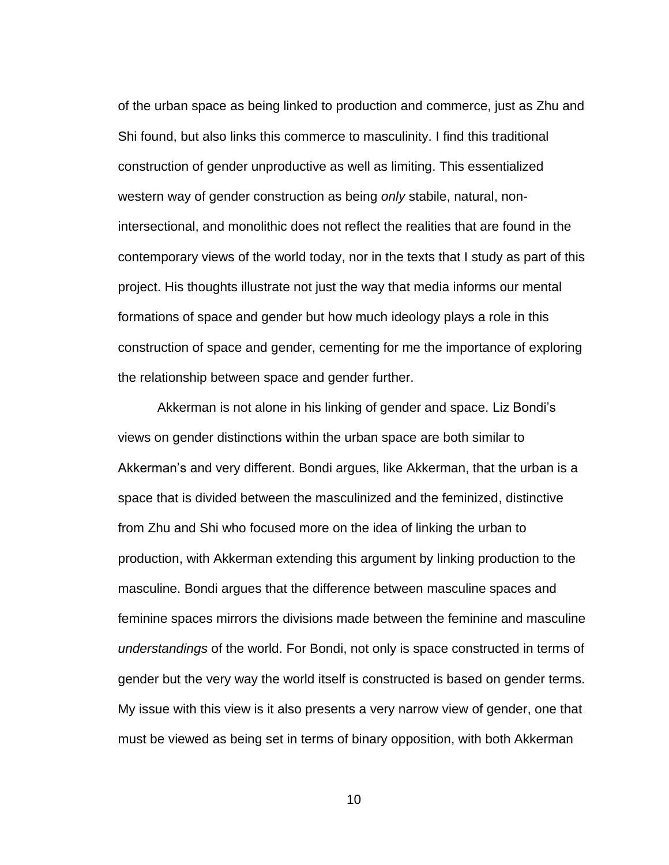of the urban space as being linked to production and commerce, just as Zhu and Shi found, but also links this commerce to masculinity. I find this traditional construction of gender unproductive as well as limiting. This essentialized western way of gender construction as being *only* stabile, natural, nonintersectional, and monolithic does not reflect the realities that are found in the contemporary views of the world today, nor in the texts that I study as part of this project. His thoughts illustrate not just the way that media informs our mental formations of space and gender but how much ideology plays a role in this construction of space and gender, cementing for me the importance of exploring the relationship between space and gender further.

Akkerman is not alone in his linking of gender and space. Liz Bondi's views on gender distinctions within the urban space are both similar to Akkerman's and very different. Bondi argues, like Akkerman, that the urban is a space that is divided between the masculinized and the feminized, distinctive from Zhu and Shi who focused more on the idea of linking the urban to production, with Akkerman extending this argument by linking production to the masculine. Bondi argues that the difference between masculine spaces and feminine spaces mirrors the divisions made between the feminine and masculine *understandings* of the world. For Bondi, not only is space constructed in terms of gender but the very way the world itself is constructed is based on gender terms. My issue with this view is it also presents a very narrow view of gender, one that must be viewed as being set in terms of binary opposition, with both Akkerman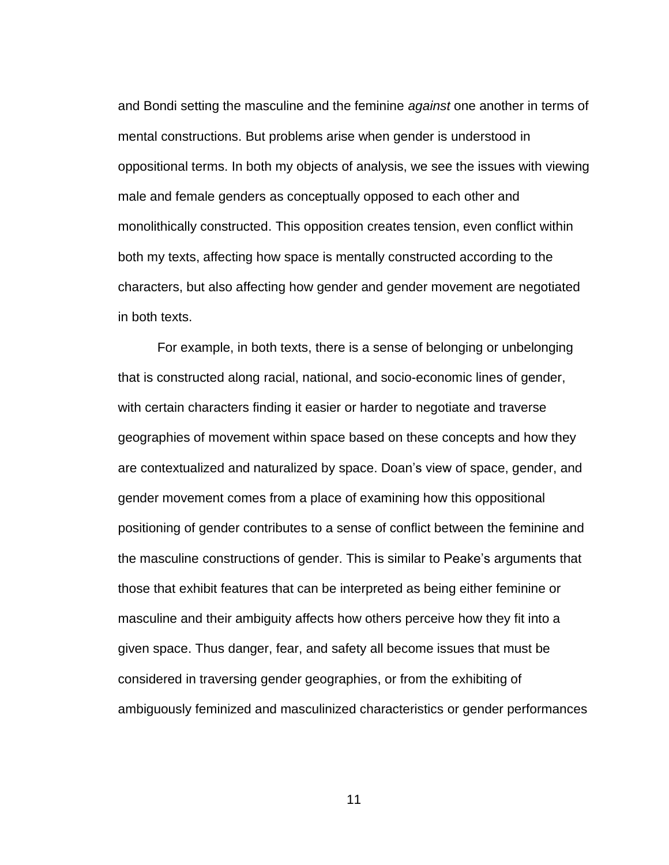and Bondi setting the masculine and the feminine *against* one another in terms of mental constructions. But problems arise when gender is understood in oppositional terms. In both my objects of analysis, we see the issues with viewing male and female genders as conceptually opposed to each other and monolithically constructed. This opposition creates tension, even conflict within both my texts, affecting how space is mentally constructed according to the characters, but also affecting how gender and gender movement are negotiated in both texts.

For example, in both texts, there is a sense of belonging or unbelonging that is constructed along racial, national, and socio-economic lines of gender, with certain characters finding it easier or harder to negotiate and traverse geographies of movement within space based on these concepts and how they are contextualized and naturalized by space. Doan's view of space, gender, and gender movement comes from a place of examining how this oppositional positioning of gender contributes to a sense of conflict between the feminine and the masculine constructions of gender. This is similar to Peake's arguments that those that exhibit features that can be interpreted as being either feminine or masculine and their ambiguity affects how others perceive how they fit into a given space. Thus danger, fear, and safety all become issues that must be considered in traversing gender geographies, or from the exhibiting of ambiguously feminized and masculinized characteristics or gender performances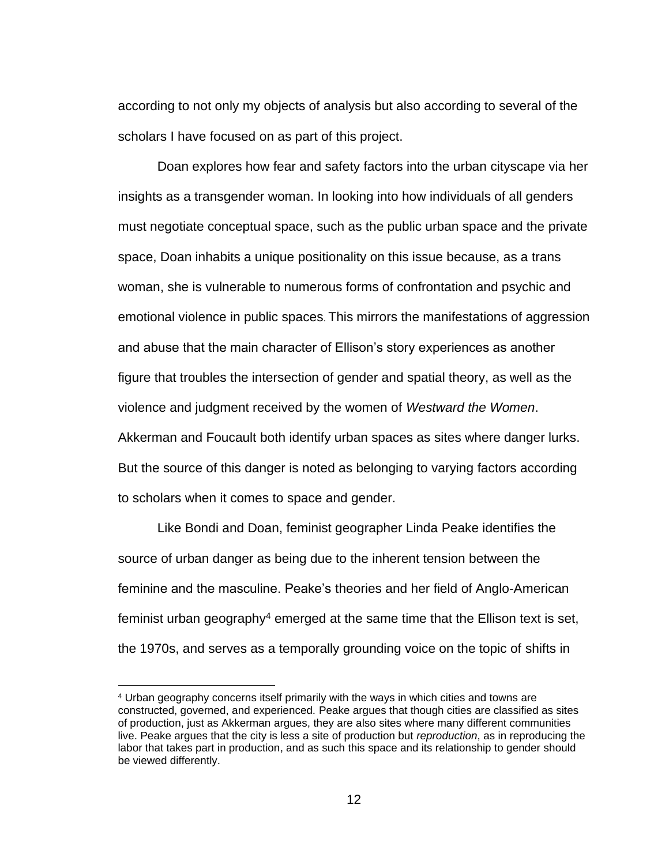according to not only my objects of analysis but also according to several of the scholars I have focused on as part of this project.

Doan explores how fear and safety factors into the urban cityscape via her insights as a transgender woman. In looking into how individuals of all genders must negotiate conceptual space, such as the public urban space and the private space, Doan inhabits a unique positionality on this issue because, as a trans woman, she is vulnerable to numerous forms of confrontation and psychic and emotional violence in public spaces. This mirrors the manifestations of aggression and abuse that the main character of Ellison's story experiences as another figure that troubles the intersection of gender and spatial theory, as well as the violence and judgment received by the women of *Westward the Women*. Akkerman and Foucault both identify urban spaces as sites where danger lurks. But the source of this danger is noted as belonging to varying factors according to scholars when it comes to space and gender.

Like Bondi and Doan, feminist geographer Linda Peake identifies the source of urban danger as being due to the inherent tension between the feminine and the masculine. Peake's theories and her field of Anglo-American feminist urban geography<sup>4</sup> emerged at the same time that the Ellison text is set, the 1970s, and serves as a temporally grounding voice on the topic of shifts in

<sup>4</sup> Urban geography concerns itself primarily with the ways in which cities and towns are constructed, governed, and experienced. Peake argues that though cities are classified as sites of production, just as Akkerman argues, they are also sites where many different communities live. Peake argues that the city is less a site of production but *reproduction*, as in reproducing the labor that takes part in production, and as such this space and its relationship to gender should be viewed differently.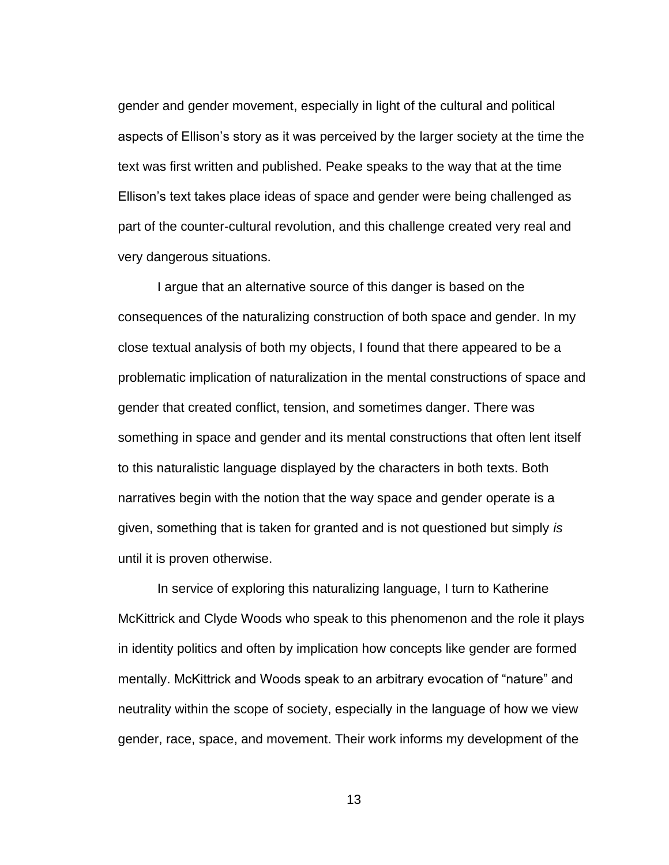gender and gender movement, especially in light of the cultural and political aspects of Ellison's story as it was perceived by the larger society at the time the text was first written and published. Peake speaks to the way that at the time Ellison's text takes place ideas of space and gender were being challenged as part of the counter-cultural revolution, and this challenge created very real and very dangerous situations.

I argue that an alternative source of this danger is based on the consequences of the naturalizing construction of both space and gender. In my close textual analysis of both my objects, I found that there appeared to be a problematic implication of naturalization in the mental constructions of space and gender that created conflict, tension, and sometimes danger. There was something in space and gender and its mental constructions that often lent itself to this naturalistic language displayed by the characters in both texts. Both narratives begin with the notion that the way space and gender operate is a given, something that is taken for granted and is not questioned but simply *is* until it is proven otherwise.

In service of exploring this naturalizing language, I turn to Katherine McKittrick and Clyde Woods who speak to this phenomenon and the role it plays in identity politics and often by implication how concepts like gender are formed mentally. McKittrick and Woods speak to an arbitrary evocation of "nature" and neutrality within the scope of society, especially in the language of how we view gender, race, space, and movement. Their work informs my development of the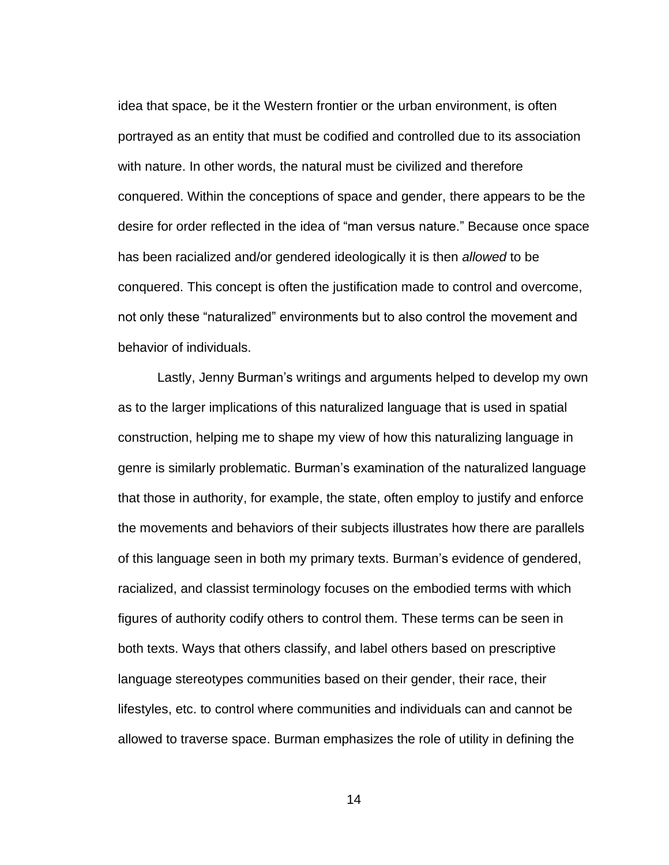idea that space, be it the Western frontier or the urban environment, is often portrayed as an entity that must be codified and controlled due to its association with nature. In other words, the natural must be civilized and therefore conquered. Within the conceptions of space and gender, there appears to be the desire for order reflected in the idea of "man versus nature." Because once space has been racialized and/or gendered ideologically it is then *allowed* to be conquered. This concept is often the justification made to control and overcome, not only these "naturalized" environments but to also control the movement and behavior of individuals.

Lastly, Jenny Burman's writings and arguments helped to develop my own as to the larger implications of this naturalized language that is used in spatial construction, helping me to shape my view of how this naturalizing language in genre is similarly problematic. Burman's examination of the naturalized language that those in authority, for example, the state, often employ to justify and enforce the movements and behaviors of their subjects illustrates how there are parallels of this language seen in both my primary texts. Burman's evidence of gendered, racialized, and classist terminology focuses on the embodied terms with which figures of authority codify others to control them. These terms can be seen in both texts. Ways that others classify, and label others based on prescriptive language stereotypes communities based on their gender, their race, their lifestyles, etc. to control where communities and individuals can and cannot be allowed to traverse space. Burman emphasizes the role of utility in defining the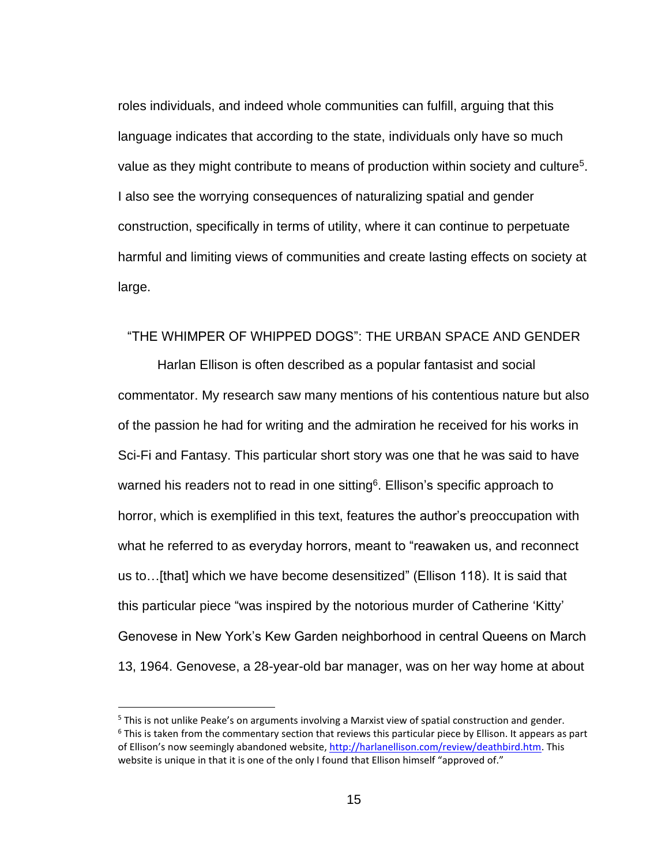roles individuals, and indeed whole communities can fulfill, arguing that this language indicates that according to the state, individuals only have so much value as they might contribute to means of production within society and culture<sup>5</sup>. I also see the worrying consequences of naturalizing spatial and gender construction, specifically in terms of utility, where it can continue to perpetuate harmful and limiting views of communities and create lasting effects on society at large.

### <span id="page-22-0"></span>"THE WHIMPER OF WHIPPED DOGS": THE URBAN SPACE AND GENDER

Harlan Ellison is often described as a popular fantasist and social commentator. My research saw many mentions of his contentious nature but also of the passion he had for writing and the admiration he received for his works in Sci-Fi and Fantasy. This particular short story was one that he was said to have warned his readers not to read in one sitting<sup>6</sup>. Ellison's specific approach to horror, which is exemplified in this text, features the author's preoccupation with what he referred to as everyday horrors, meant to "reawaken us, and reconnect us to…[that] which we have become desensitized" (Ellison 118). It is said that this particular piece "was inspired by the notorious murder of Catherine 'Kitty' Genovese in New York's Kew Garden neighborhood in central Queens on March 13, 1964. Genovese, a 28-year-old bar manager, was on her way home at about

<sup>5</sup> This is not unlike Peake's on arguments involving a Marxist view of spatial construction and gender. <sup>6</sup> This is taken from the commentary section that reviews this particular piece by Ellison. It appears as part of Ellison's now seemingly abandoned website[, http://harlanellison.com/review/deathbird.htm.](http://harlanellison.com/review/deathbird.htm) This website is unique in that it is one of the only I found that Ellison himself "approved of."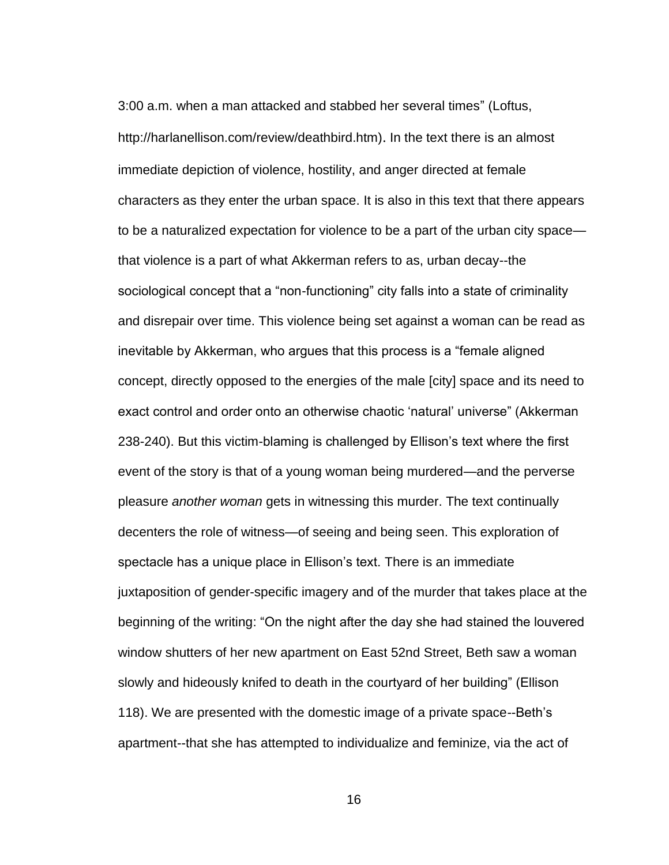3:00 a.m. when a man attacked and stabbed her several times" (Loftus, http://harlanellison.com/review/deathbird.htm). In the text there is an almost immediate depiction of violence, hostility, and anger directed at female characters as they enter the urban space. It is also in this text that there appears to be a naturalized expectation for violence to be a part of the urban city space that violence is a part of what Akkerman refers to as, urban decay--the sociological concept that a "non-functioning" city falls into a state of criminality and disrepair over time. This violence being set against a woman can be read as inevitable by Akkerman, who argues that this process is a "female aligned concept, directly opposed to the energies of the male [city] space and its need to exact control and order onto an otherwise chaotic 'natural' universe" (Akkerman 238-240). But this victim-blaming is challenged by Ellison's text where the first event of the story is that of a young woman being murdered—and the perverse pleasure *another woman* gets in witnessing this murder. The text continually decenters the role of witness—of seeing and being seen. This exploration of spectacle has a unique place in Ellison's text. There is an immediate juxtaposition of gender-specific imagery and of the murder that takes place at the beginning of the writing: "On the night after the day she had stained the louvered window shutters of her new apartment on East 52nd Street, Beth saw a woman slowly and hideously knifed to death in the courtyard of her building" (Ellison 118). We are presented with the domestic image of a private space--Beth's apartment--that she has attempted to individualize and feminize, via the act of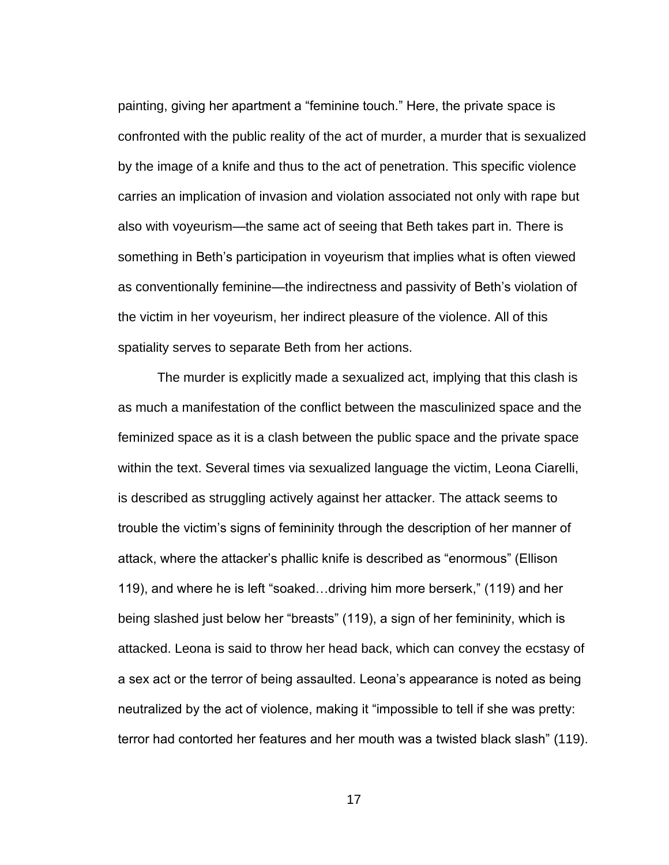painting, giving her apartment a "feminine touch." Here, the private space is confronted with the public reality of the act of murder, a murder that is sexualized by the image of a knife and thus to the act of penetration. This specific violence carries an implication of invasion and violation associated not only with rape but also with voyeurism—the same act of seeing that Beth takes part in. There is something in Beth's participation in voyeurism that implies what is often viewed as conventionally feminine—the indirectness and passivity of Beth's violation of the victim in her voyeurism, her indirect pleasure of the violence. All of this spatiality serves to separate Beth from her actions.

The murder is explicitly made a sexualized act, implying that this clash is as much a manifestation of the conflict between the masculinized space and the feminized space as it is a clash between the public space and the private space within the text. Several times via sexualized language the victim, Leona Ciarelli, is described as struggling actively against her attacker. The attack seems to trouble the victim's signs of femininity through the description of her manner of attack, where the attacker's phallic knife is described as "enormous" (Ellison 119), and where he is left "soaked…driving him more berserk," (119) and her being slashed just below her "breasts" (119), a sign of her femininity, which is attacked. Leona is said to throw her head back, which can convey the ecstasy of a sex act or the terror of being assaulted. Leona's appearance is noted as being neutralized by the act of violence, making it "impossible to tell if she was pretty: terror had contorted her features and her mouth was a twisted black slash" (119).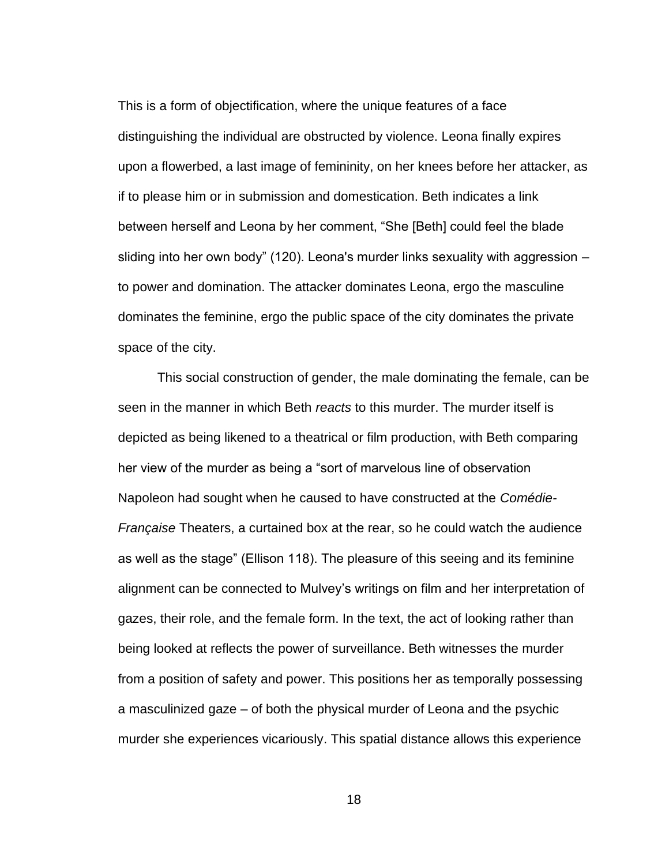This is a form of objectification, where the unique features of a face distinguishing the individual are obstructed by violence. Leona finally expires upon a flowerbed, a last image of femininity, on her knees before her attacker, as if to please him or in submission and domestication. Beth indicates a link between herself and Leona by her comment, "She [Beth] could feel the blade sliding into her own body" (120). Leona's murder links sexuality with aggression – to power and domination. The attacker dominates Leona, ergo the masculine dominates the feminine, ergo the public space of the city dominates the private space of the city.

This social construction of gender, the male dominating the female, can be seen in the manner in which Beth *reacts* to this murder. The murder itself is depicted as being likened to a theatrical or film production, with Beth comparing her view of the murder as being a "sort of marvelous line of observation Napoleon had sought when he caused to have constructed at the *Comédie-Française* Theaters, a curtained box at the rear, so he could watch the audience as well as the stage" (Ellison 118). The pleasure of this seeing and its feminine alignment can be connected to Mulvey's writings on film and her interpretation of gazes, their role, and the female form. In the text, the act of looking rather than being looked at reflects the power of surveillance. Beth witnesses the murder from a position of safety and power. This positions her as temporally possessing a masculinized gaze – of both the physical murder of Leona and the psychic murder she experiences vicariously. This spatial distance allows this experience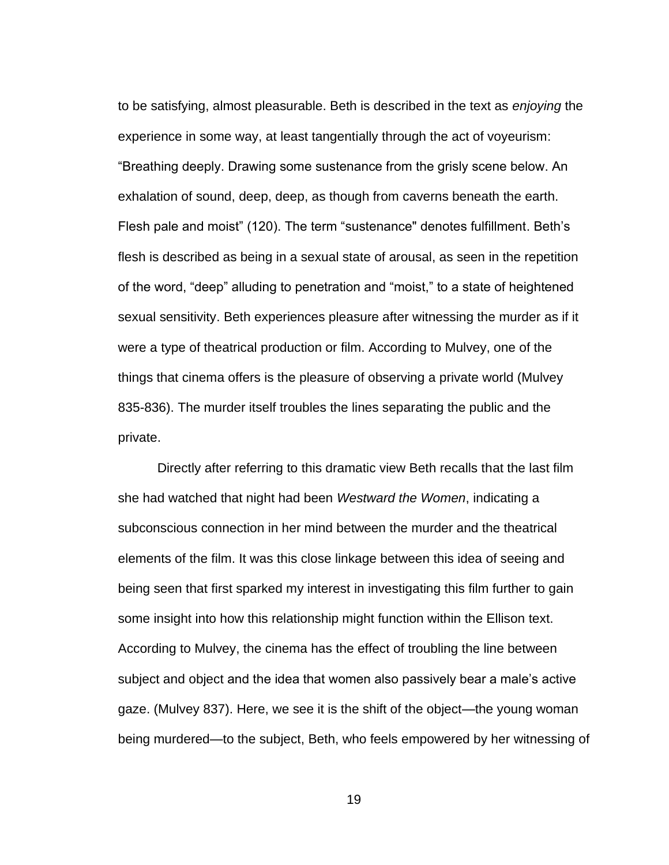to be satisfying, almost pleasurable. Beth is described in the text as *enjoying* the experience in some way, at least tangentially through the act of voyeurism: "Breathing deeply. Drawing some sustenance from the grisly scene below. An exhalation of sound, deep, deep, as though from caverns beneath the earth. Flesh pale and moist" (120). The term "sustenance" denotes fulfillment. Beth's flesh is described as being in a sexual state of arousal, as seen in the repetition of the word, "deep" alluding to penetration and "moist," to a state of heightened sexual sensitivity. Beth experiences pleasure after witnessing the murder as if it were a type of theatrical production or film. According to Mulvey, one of the things that cinema offers is the pleasure of observing a private world (Mulvey 835-836). The murder itself troubles the lines separating the public and the private.

Directly after referring to this dramatic view Beth recalls that the last film she had watched that night had been *Westward the Women*, indicating a subconscious connection in her mind between the murder and the theatrical elements of the film. It was this close linkage between this idea of seeing and being seen that first sparked my interest in investigating this film further to gain some insight into how this relationship might function within the Ellison text. According to Mulvey, the cinema has the effect of troubling the line between subject and object and the idea that women also passively bear a male's active gaze. (Mulvey 837). Here, we see it is the shift of the object—the young woman being murdered—to the subject, Beth, who feels empowered by her witnessing of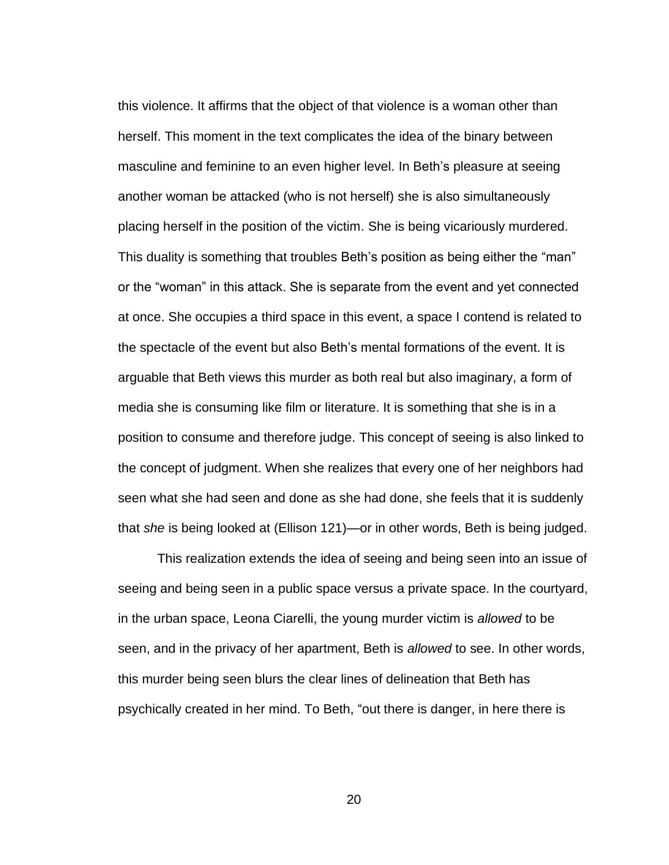this violence. It affirms that the object of that violence is a woman other than herself. This moment in the text complicates the idea of the binary between masculine and feminine to an even higher level. In Beth's pleasure at seeing another woman be attacked (who is not herself) she is also simultaneously placing herself in the position of the victim. She is being vicariously murdered. This duality is something that troubles Beth's position as being either the "man" or the "woman" in this attack. She is separate from the event and yet connected at once. She occupies a third space in this event, a space I contend is related to the spectacle of the event but also Beth's mental formations of the event. It is arguable that Beth views this murder as both real but also imaginary, a form of media she is consuming like film or literature. It is something that she is in a position to consume and therefore judge. This concept of seeing is also linked to the concept of judgment. When she realizes that every one of her neighbors had seen what she had seen and done as she had done, she feels that it is suddenly that *she* is being looked at (Ellison 121)—or in other words, Beth is being judged.

This realization extends the idea of seeing and being seen into an issue of seeing and being seen in a public space versus a private space. In the courtyard, in the urban space, Leona Ciarelli, the young murder victim is *allowed* to be seen, and in the privacy of her apartment, Beth is *allowed* to see. In other words, this murder being seen blurs the clear lines of delineation that Beth has psychically created in her mind. To Beth, "out there is danger, in here there is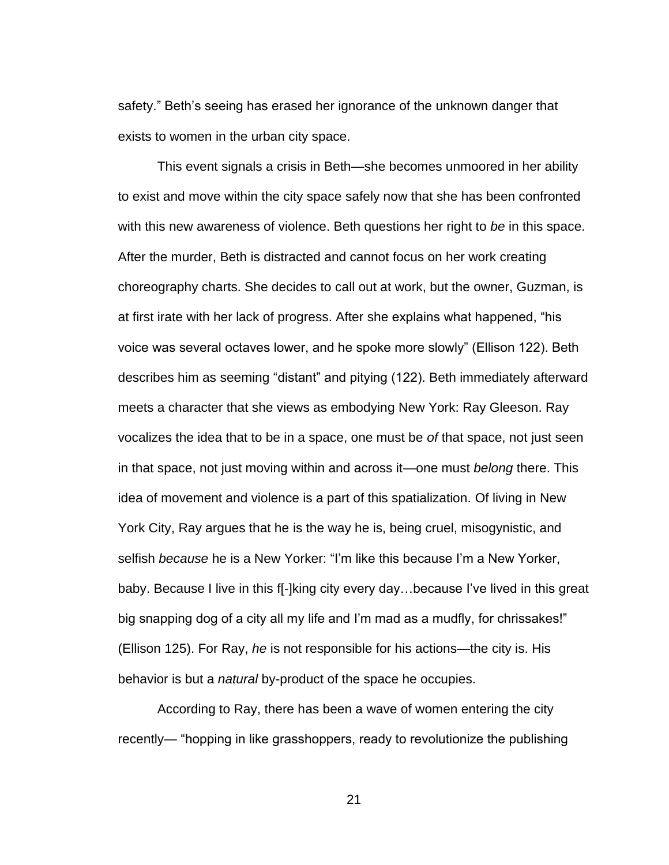safety." Beth's seeing has erased her ignorance of the unknown danger that exists to women in the urban city space.

This event signals a crisis in Beth—she becomes unmoored in her ability to exist and move within the city space safely now that she has been confronted with this new awareness of violence. Beth questions her right to *be* in this space. After the murder, Beth is distracted and cannot focus on her work creating choreography charts. She decides to call out at work, but the owner, Guzman, is at first irate with her lack of progress. After she explains what happened, "his voice was several octaves lower, and he spoke more slowly" (Ellison 122). Beth describes him as seeming "distant" and pitying (122). Beth immediately afterward meets a character that she views as embodying New York: Ray Gleeson. Ray vocalizes the idea that to be in a space, one must be *of* that space, not just seen in that space, not just moving within and across it—one must *belong* there. This idea of movement and violence is a part of this spatialization. Of living in New York City, Ray argues that he is the way he is, being cruel, misogynistic, and selfish *because* he is a New Yorker: "I'm like this because I'm a New Yorker, baby. Because I live in this f[-]king city every day…because I've lived in this great big snapping dog of a city all my life and I'm mad as a mudfly, for chrissakes!" (Ellison 125). For Ray, *he* is not responsible for his actions—the city is. His behavior is but a *natural* by-product of the space he occupies.

According to Ray, there has been a wave of women entering the city recently— "hopping in like grasshoppers, ready to revolutionize the publishing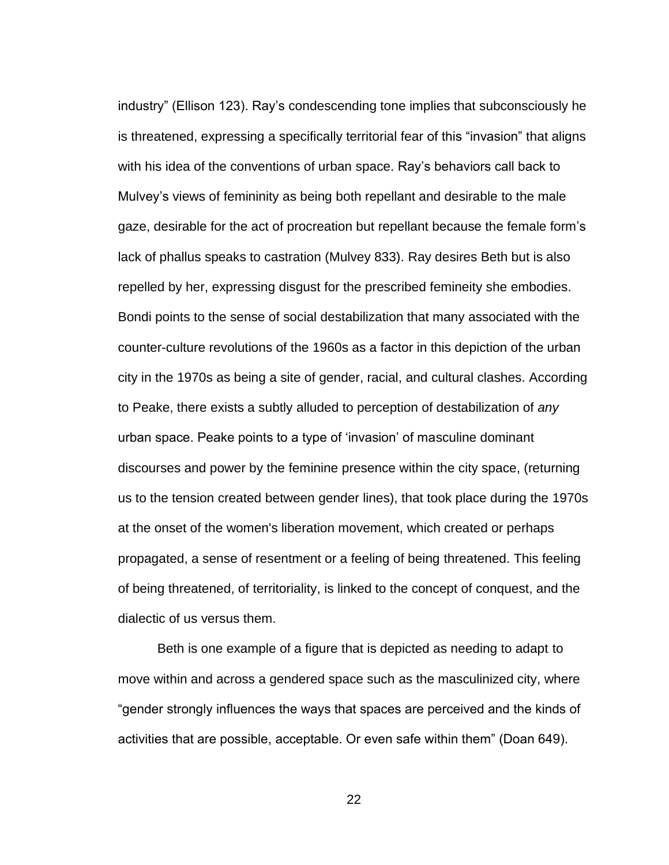industry" (Ellison 123). Ray's condescending tone implies that subconsciously he is threatened, expressing a specifically territorial fear of this "invasion" that aligns with his idea of the conventions of urban space. Ray's behaviors call back to Mulvey's views of femininity as being both repellant and desirable to the male gaze, desirable for the act of procreation but repellant because the female form's lack of phallus speaks to castration (Mulvey 833). Ray desires Beth but is also repelled by her, expressing disgust for the prescribed femineity she embodies. Bondi points to the sense of social destabilization that many associated with the counter-culture revolutions of the 1960s as a factor in this depiction of the urban city in the 1970s as being a site of gender, racial, and cultural clashes. According to Peake, there exists a subtly alluded to perception of destabilization of *any* urban space. Peake points to a type of 'invasion' of masculine dominant discourses and power by the feminine presence within the city space, (returning us to the tension created between gender lines), that took place during the 1970s at the onset of the women's liberation movement, which created or perhaps propagated, a sense of resentment or a feeling of being threatened. This feeling of being threatened, of territoriality, is linked to the concept of conquest, and the dialectic of us versus them.

Beth is one example of a figure that is depicted as needing to adapt to move within and across a gendered space such as the masculinized city, where "gender strongly influences the ways that spaces are perceived and the kinds of activities that are possible, acceptable. Or even safe within them" (Doan 649).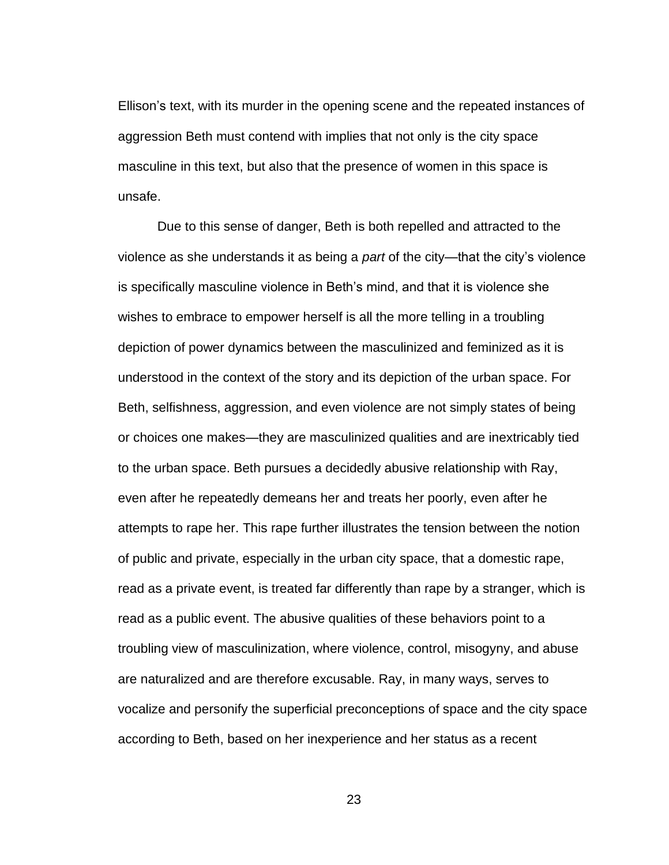Ellison's text, with its murder in the opening scene and the repeated instances of aggression Beth must contend with implies that not only is the city space masculine in this text, but also that the presence of women in this space is unsafe.

Due to this sense of danger, Beth is both repelled and attracted to the violence as she understands it as being a *part* of the city—that the city's violence is specifically masculine violence in Beth's mind, and that it is violence she wishes to embrace to empower herself is all the more telling in a troubling depiction of power dynamics between the masculinized and feminized as it is understood in the context of the story and its depiction of the urban space. For Beth, selfishness, aggression, and even violence are not simply states of being or choices one makes—they are masculinized qualities and are inextricably tied to the urban space. Beth pursues a decidedly abusive relationship with Ray, even after he repeatedly demeans her and treats her poorly, even after he attempts to rape her. This rape further illustrates the tension between the notion of public and private, especially in the urban city space, that a domestic rape, read as a private event, is treated far differently than rape by a stranger, which is read as a public event. The abusive qualities of these behaviors point to a troubling view of masculinization, where violence, control, misogyny, and abuse are naturalized and are therefore excusable. Ray, in many ways, serves to vocalize and personify the superficial preconceptions of space and the city space according to Beth, based on her inexperience and her status as a recent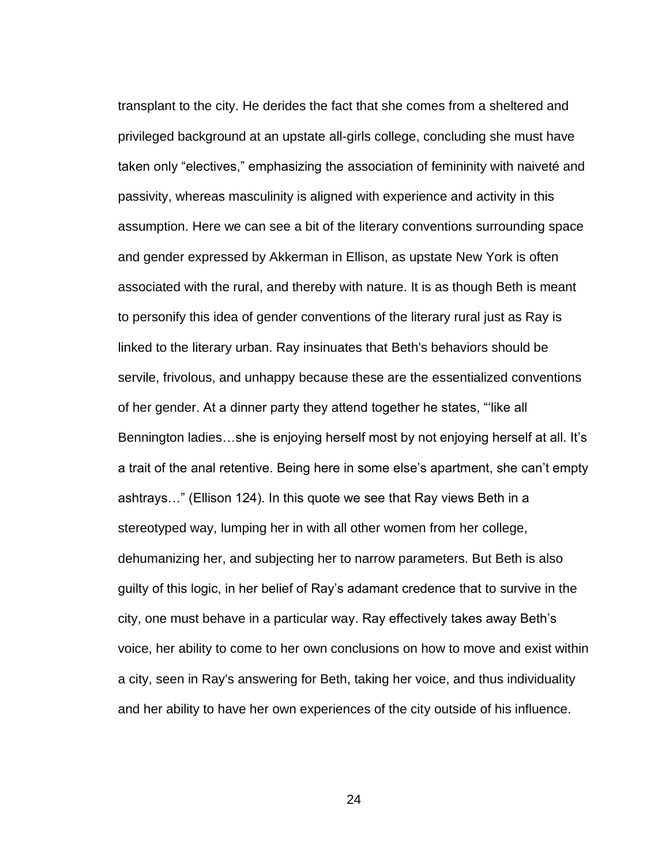transplant to the city. He derides the fact that she comes from a sheltered and privileged background at an upstate all-girls college, concluding she must have taken only "electives," emphasizing the association of femininity with naiveté and passivity, whereas masculinity is aligned with experience and activity in this assumption. Here we can see a bit of the literary conventions surrounding space and gender expressed by Akkerman in Ellison, as upstate New York is often associated with the rural, and thereby with nature. It is as though Beth is meant to personify this idea of gender conventions of the literary rural just as Ray is linked to the literary urban. Ray insinuates that Beth's behaviors should be servile, frivolous, and unhappy because these are the essentialized conventions of her gender. At a dinner party they attend together he states, "'like all Bennington ladies…she is enjoying herself most by not enjoying herself at all. It's a trait of the anal retentive. Being here in some else's apartment, she can't empty ashtrays…" (Ellison 124). In this quote we see that Ray views Beth in a stereotyped way, lumping her in with all other women from her college, dehumanizing her, and subjecting her to narrow parameters. But Beth is also guilty of this logic, in her belief of Ray's adamant credence that to survive in the city, one must behave in a particular way. Ray effectively takes away Beth's voice, her ability to come to her own conclusions on how to move and exist within a city, seen in Ray's answering for Beth, taking her voice, and thus individuality and her ability to have her own experiences of the city outside of his influence.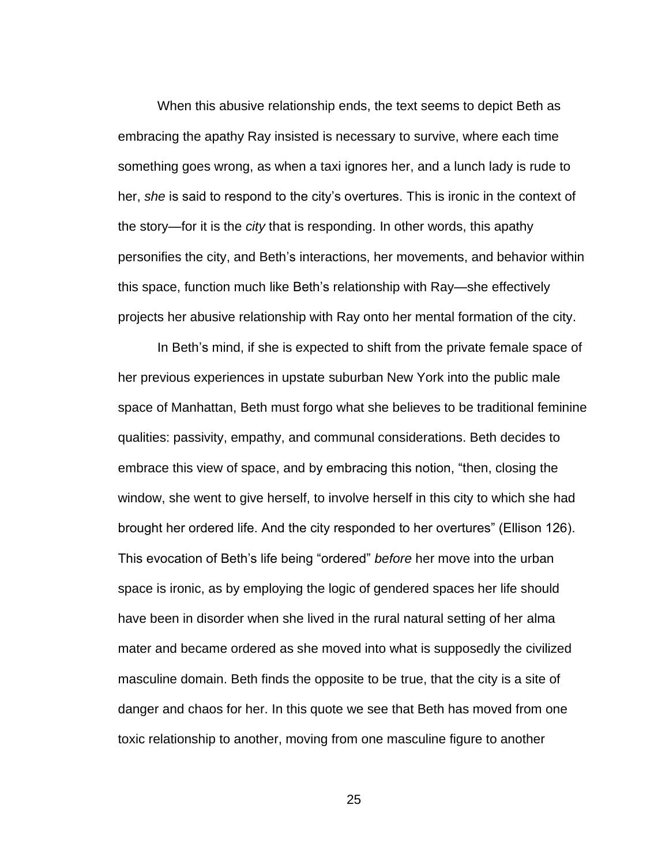When this abusive relationship ends, the text seems to depict Beth as embracing the apathy Ray insisted is necessary to survive, where each time something goes wrong, as when a taxi ignores her, and a lunch lady is rude to her, *she* is said to respond to the city's overtures. This is ironic in the context of the story—for it is the *city* that is responding. In other words, this apathy personifies the city, and Beth's interactions, her movements, and behavior within this space, function much like Beth's relationship with Ray—she effectively projects her abusive relationship with Ray onto her mental formation of the city.

In Beth's mind, if she is expected to shift from the private female space of her previous experiences in upstate suburban New York into the public male space of Manhattan, Beth must forgo what she believes to be traditional feminine qualities: passivity, empathy, and communal considerations. Beth decides to embrace this view of space, and by embracing this notion, "then, closing the window, she went to give herself, to involve herself in this city to which she had brought her ordered life. And the city responded to her overtures" (Ellison 126). This evocation of Beth's life being "ordered" *before* her move into the urban space is ironic, as by employing the logic of gendered spaces her life should have been in disorder when she lived in the rural natural setting of her alma mater and became ordered as she moved into what is supposedly the civilized masculine domain. Beth finds the opposite to be true, that the city is a site of danger and chaos for her. In this quote we see that Beth has moved from one toxic relationship to another, moving from one masculine figure to another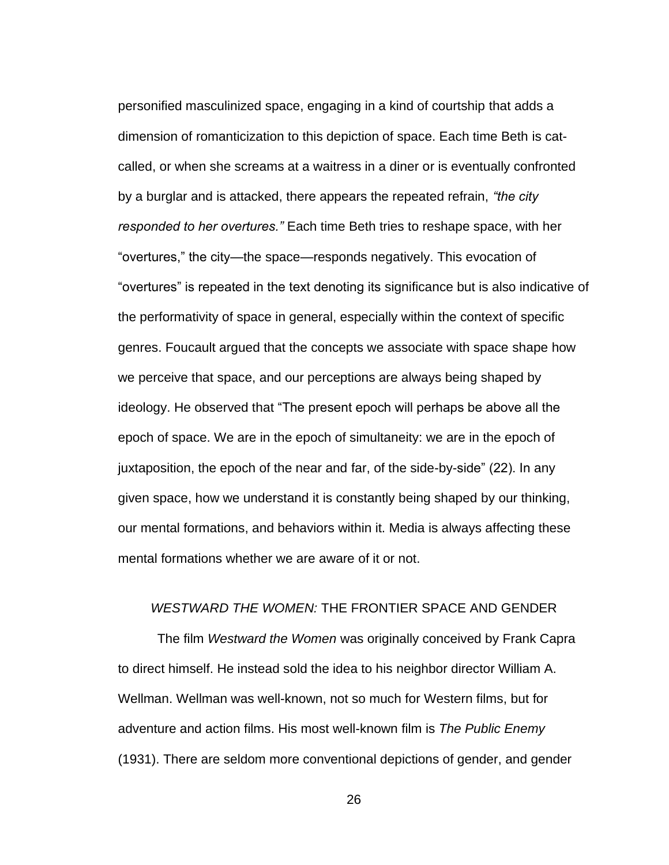personified masculinized space, engaging in a kind of courtship that adds a dimension of romanticization to this depiction of space. Each time Beth is catcalled, or when she screams at a waitress in a diner or is eventually confronted by a burglar and is attacked, there appears the repeated refrain, *"the city responded to her overtures."* Each time Beth tries to reshape space, with her "overtures," the city—the space—responds negatively. This evocation of "overtures" is repeated in the text denoting its significance but is also indicative of the performativity of space in general, especially within the context of specific genres. Foucault argued that the concepts we associate with space shape how we perceive that space, and our perceptions are always being shaped by ideology. He observed that "The present epoch will perhaps be above all the epoch of space. We are in the epoch of simultaneity: we are in the epoch of juxtaposition, the epoch of the near and far, of the side-by-side" (22). In any given space, how we understand it is constantly being shaped by our thinking, our mental formations, and behaviors within it. Media is always affecting these mental formations whether we are aware of it or not.

### <span id="page-33-0"></span>*WESTWARD THE WOMEN:* THE FRONTIER SPACE AND GENDER

The film *Westward the Women* was originally conceived by Frank Capra to direct himself. He instead sold the idea to his neighbor director William A. Wellman. Wellman was well-known, not so much for Western films, but for adventure and action films. His most well-known film is *The Public Enemy*  (1931). There are seldom more conventional depictions of gender, and gender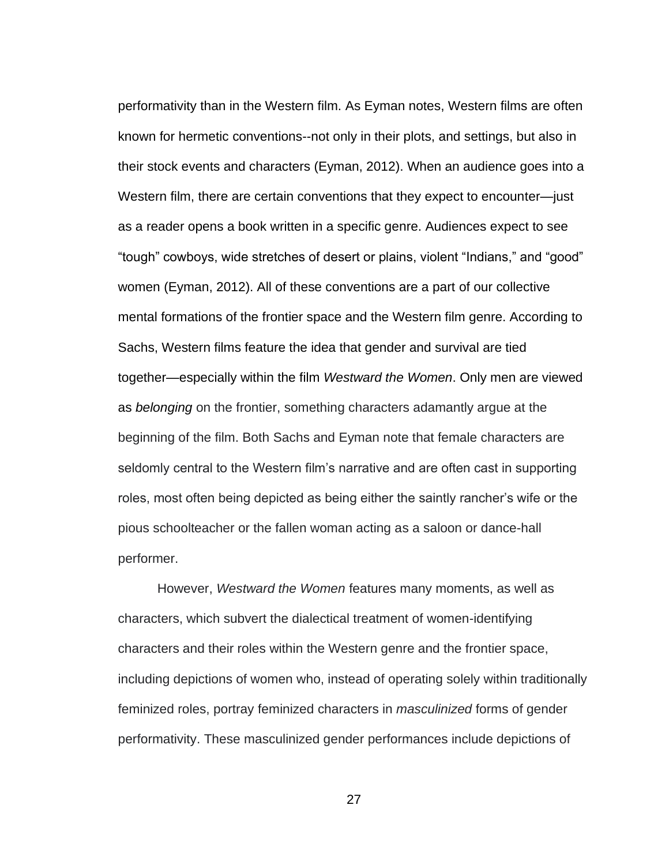performativity than in the Western film. As Eyman notes, Western films are often known for hermetic conventions--not only in their plots, and settings, but also in their stock events and characters (Eyman, 2012). When an audience goes into a Western film, there are certain conventions that they expect to encounter—just as a reader opens a book written in a specific genre. Audiences expect to see "tough" cowboys, wide stretches of desert or plains, violent "Indians," and "good" women (Eyman, 2012). All of these conventions are a part of our collective mental formations of the frontier space and the Western film genre. According to Sachs, Western films feature the idea that gender and survival are tied together—especially within the film *Westward the Women*. Only men are viewed as *belonging* on the frontier, something characters adamantly argue at the beginning of the film. Both Sachs and Eyman note that female characters are seldomly central to the Western film's narrative and are often cast in supporting roles, most often being depicted as being either the saintly rancher's wife or the pious schoolteacher or the fallen woman acting as a saloon or dance-hall performer.

However, *Westward the Women* features many moments, as well as characters, which subvert the dialectical treatment of women-identifying characters and their roles within the Western genre and the frontier space, including depictions of women who, instead of operating solely within traditionally feminized roles, portray feminized characters in *masculinized* forms of gender performativity. These masculinized gender performances include depictions of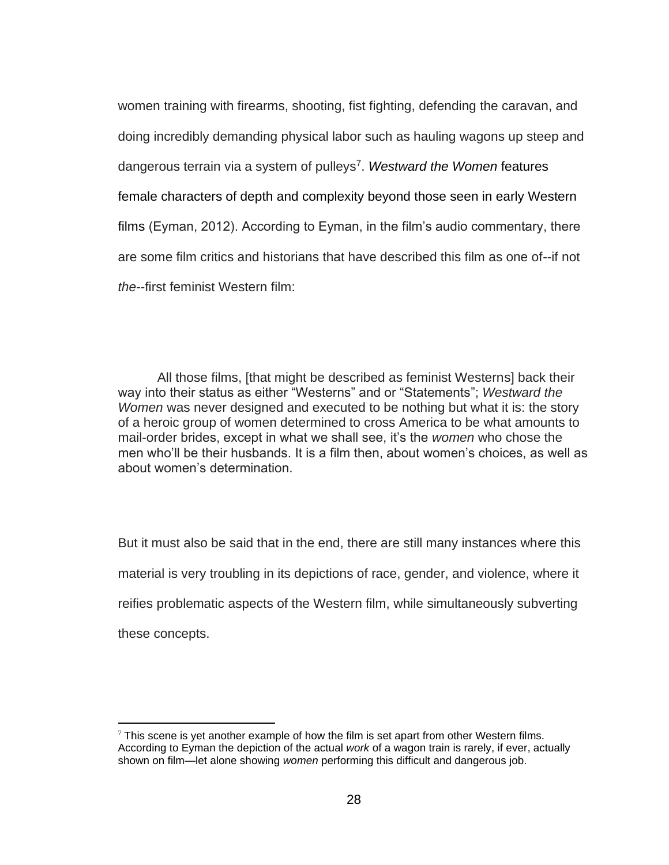women training with firearms, shooting, fist fighting, defending the caravan, and doing incredibly demanding physical labor such as hauling wagons up steep and dangerous terrain via a system of pulleys<sup>7</sup> . *Westward the Women* features female characters of depth and complexity beyond those seen in early Western films (Eyman, 2012). According to Eyman, in the film's audio commentary, there are some film critics and historians that have described this film as one of--if not *the*--first feminist Western film:

All those films, [that might be described as feminist Westerns] back their way into their status as either "Westerns" and or "Statements"; *Westward the Women* was never designed and executed to be nothing but what it is: the story of a heroic group of women determined to cross America to be what amounts to mail-order brides, except in what we shall see, it's the *women* who chose the men who'll be their husbands. It is a film then, about women's choices, as well as about women's determination.

But it must also be said that in the end, there are still many instances where this material is very troubling in its depictions of race, gender, and violence, where it reifies problematic aspects of the Western film, while simultaneously subverting these concepts.

 $7$  This scene is yet another example of how the film is set apart from other Western films. According to Eyman the depiction of the actual *work* of a wagon train is rarely, if ever, actually shown on film—let alone showing *women* performing this difficult and dangerous job.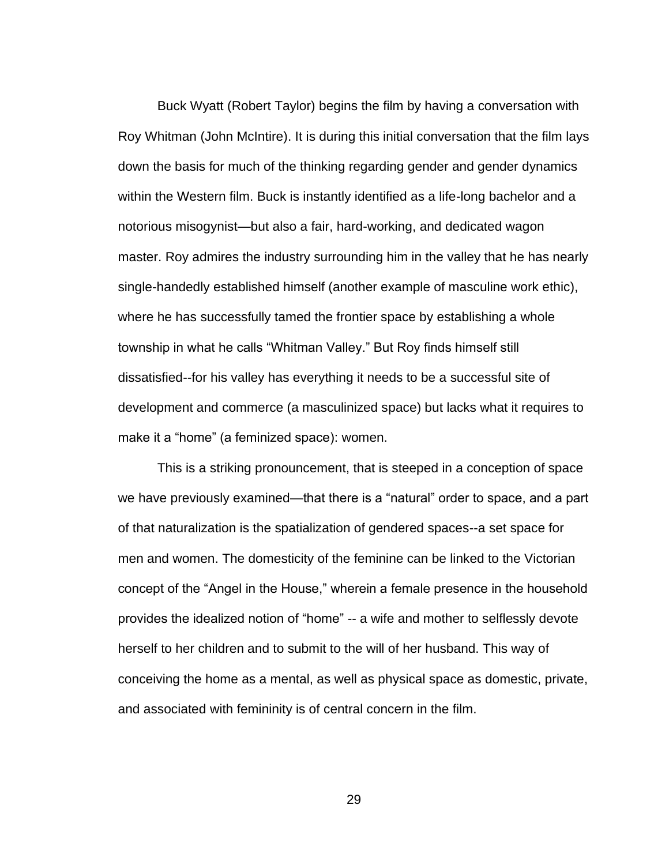Buck Wyatt (Robert Taylor) begins the film by having a conversation with Roy Whitman (John McIntire). It is during this initial conversation that the film lays down the basis for much of the thinking regarding gender and gender dynamics within the Western film. Buck is instantly identified as a life-long bachelor and a notorious misogynist—but also a fair, hard-working, and dedicated wagon master. Roy admires the industry surrounding him in the valley that he has nearly single-handedly established himself (another example of masculine work ethic), where he has successfully tamed the frontier space by establishing a whole township in what he calls "Whitman Valley." But Roy finds himself still dissatisfied--for his valley has everything it needs to be a successful site of development and commerce (a masculinized space) but lacks what it requires to make it a "home" (a feminized space): women.

This is a striking pronouncement, that is steeped in a conception of space we have previously examined—that there is a "natural" order to space, and a part of that naturalization is the spatialization of gendered spaces--a set space for men and women. The domesticity of the feminine can be linked to the Victorian concept of the "Angel in the House," wherein a female presence in the household provides the idealized notion of "home" -- a wife and mother to selflessly devote herself to her children and to submit to the will of her husband. This way of conceiving the home as a mental, as well as physical space as domestic, private, and associated with femininity is of central concern in the film.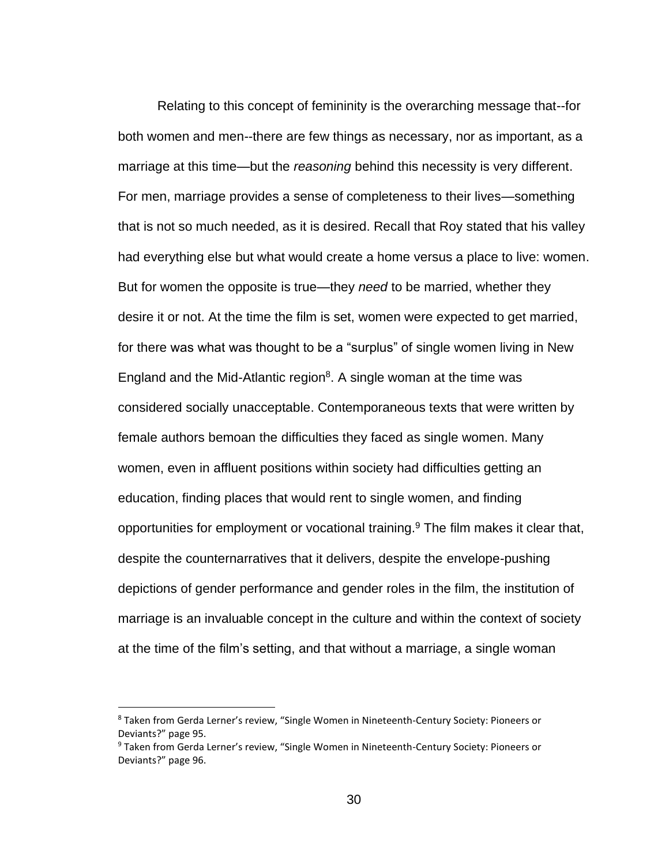Relating to this concept of femininity is the overarching message that--for both women and men--there are few things as necessary, nor as important, as a marriage at this time—but the *reasoning* behind this necessity is very different. For men, marriage provides a sense of completeness to their lives—something that is not so much needed, as it is desired. Recall that Roy stated that his valley had everything else but what would create a home versus a place to live: women. But for women the opposite is true—they *need* to be married, whether they desire it or not. At the time the film is set, women were expected to get married, for there was what was thought to be a "surplus" of single women living in New England and the Mid-Atlantic region $8$ . A single woman at the time was considered socially unacceptable. Contemporaneous texts that were written by female authors bemoan the difficulties they faced as single women. Many women, even in affluent positions within society had difficulties getting an education, finding places that would rent to single women, and finding opportunities for employment or vocational training. <sup>9</sup> The film makes it clear that, despite the counternarratives that it delivers, despite the envelope-pushing depictions of gender performance and gender roles in the film, the institution of marriage is an invaluable concept in the culture and within the context of society at the time of the film's setting, and that without a marriage, a single woman

<sup>&</sup>lt;sup>8</sup> Taken from Gerda Lerner's review, "Single Women in Nineteenth-Century Society: Pioneers or Deviants?" page 95.

<sup>9</sup> Taken from Gerda Lerner's review, "Single Women in Nineteenth-Century Society: Pioneers or Deviants?" page 96.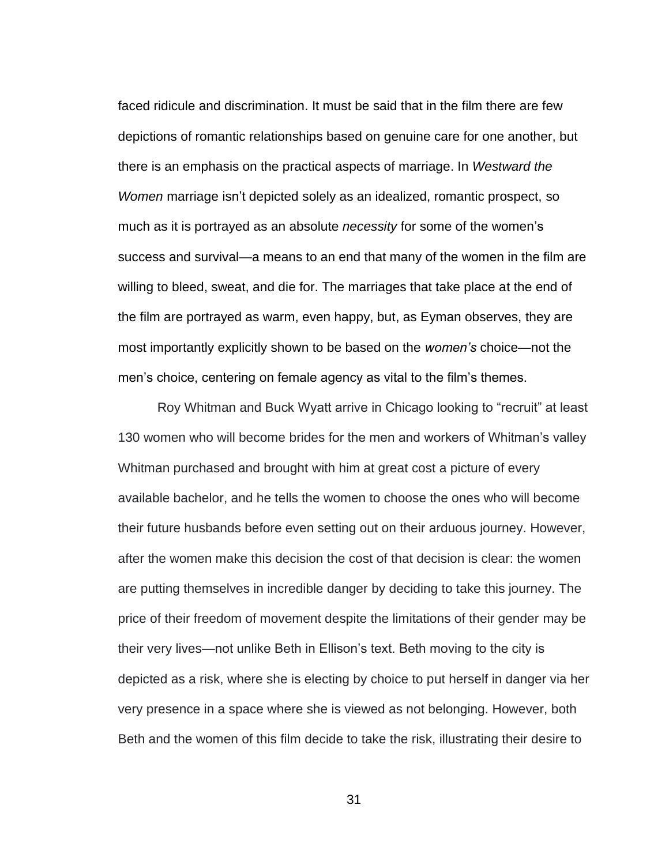faced ridicule and discrimination. It must be said that in the film there are few depictions of romantic relationships based on genuine care for one another, but there is an emphasis on the practical aspects of marriage. In *Westward the Women* marriage isn't depicted solely as an idealized, romantic prospect, so much as it is portrayed as an absolute *necessity* for some of the women's success and survival—a means to an end that many of the women in the film are willing to bleed, sweat, and die for. The marriages that take place at the end of the film are portrayed as warm, even happy, but, as Eyman observes, they are most importantly explicitly shown to be based on the *women's* choice—not the men's choice, centering on female agency as vital to the film's themes.

Roy Whitman and Buck Wyatt arrive in Chicago looking to "recruit" at least 130 women who will become brides for the men and workers of Whitman's valley Whitman purchased and brought with him at great cost a picture of every available bachelor, and he tells the women to choose the ones who will become their future husbands before even setting out on their arduous journey. However, after the women make this decision the cost of that decision is clear: the women are putting themselves in incredible danger by deciding to take this journey. The price of their freedom of movement despite the limitations of their gender may be their very lives—not unlike Beth in Ellison's text. Beth moving to the city is depicted as a risk, where she is electing by choice to put herself in danger via her very presence in a space where she is viewed as not belonging. However, both Beth and the women of this film decide to take the risk, illustrating their desire to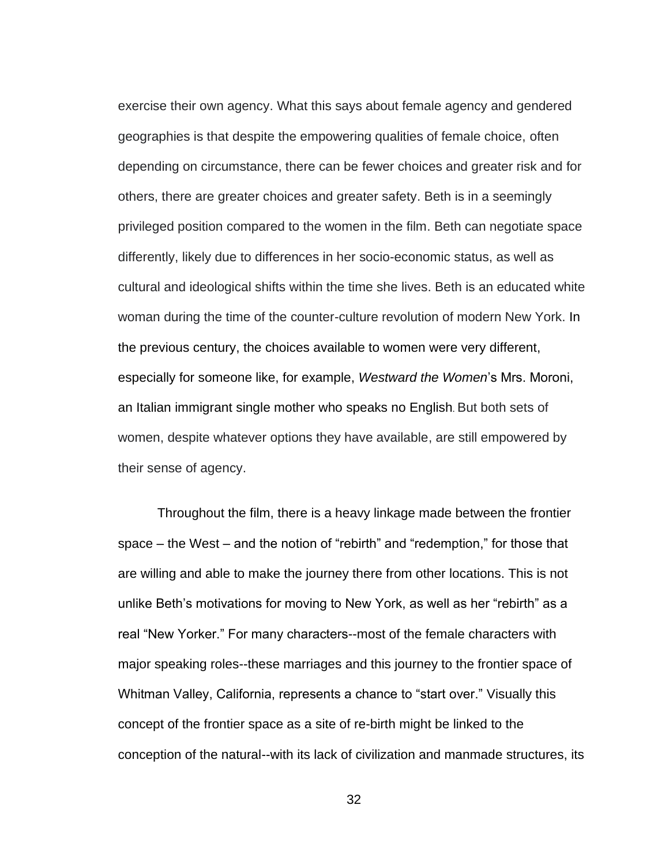exercise their own agency. What this says about female agency and gendered geographies is that despite the empowering qualities of female choice, often depending on circumstance, there can be fewer choices and greater risk and for others, there are greater choices and greater safety. Beth is in a seemingly privileged position compared to the women in the film. Beth can negotiate space differently, likely due to differences in her socio-economic status, as well as cultural and ideological shifts within the time she lives. Beth is an educated white woman during the time of the counter-culture revolution of modern New York. In the previous century, the choices available to women were very different, especially for someone like, for example, *Westward the Women*'s Mrs. Moroni, an Italian immigrant single mother who speaks no English. But both sets of women, despite whatever options they have available, are still empowered by their sense of agency.

Throughout the film, there is a heavy linkage made between the frontier space – the West – and the notion of "rebirth" and "redemption," for those that are willing and able to make the journey there from other locations. This is not unlike Beth's motivations for moving to New York, as well as her "rebirth" as a real "New Yorker." For many characters--most of the female characters with major speaking roles--these marriages and this journey to the frontier space of Whitman Valley, California, represents a chance to "start over." Visually this concept of the frontier space as a site of re-birth might be linked to the conception of the natural--with its lack of civilization and manmade structures, its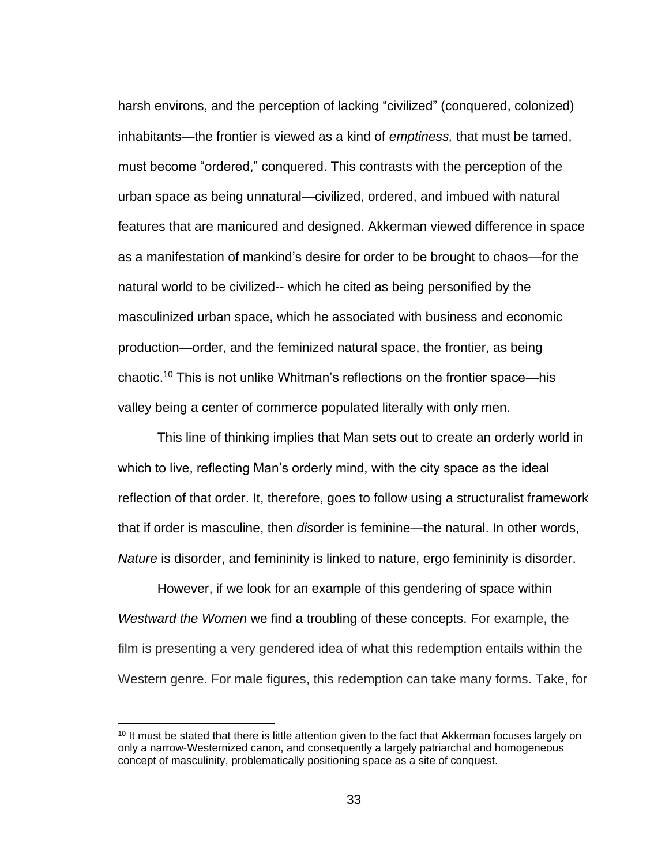harsh environs, and the perception of lacking "civilized" (conquered, colonized) inhabitants—the frontier is viewed as a kind of *emptiness,* that must be tamed, must become "ordered," conquered. This contrasts with the perception of the urban space as being unnatural—civilized, ordered, and imbued with natural features that are manicured and designed. Akkerman viewed difference in space as a manifestation of mankind's desire for order to be brought to chaos—for the natural world to be civilized-- which he cited as being personified by the masculinized urban space, which he associated with business and economic production—order, and the feminized natural space, the frontier, as being chaotic.<sup>10</sup> This is not unlike Whitman's reflections on the frontier space—his valley being a center of commerce populated literally with only men.

This line of thinking implies that Man sets out to create an orderly world in which to live, reflecting Man's orderly mind, with the city space as the ideal reflection of that order. It, therefore, goes to follow using a structuralist framework that if order is masculine, then *dis*order is feminine—the natural. In other words, *Nature* is disorder, and femininity is linked to nature, ergo femininity is disorder.

However, if we look for an example of this gendering of space within *Westward the Women* we find a troubling of these concepts. For example, the film is presenting a very gendered idea of what this redemption entails within the Western genre. For male figures, this redemption can take many forms. Take, for

<sup>&</sup>lt;sup>10</sup> It must be stated that there is little attention given to the fact that Akkerman focuses largely on only a narrow-Westernized canon, and consequently a largely patriarchal and homogeneous concept of masculinity, problematically positioning space as a site of conquest.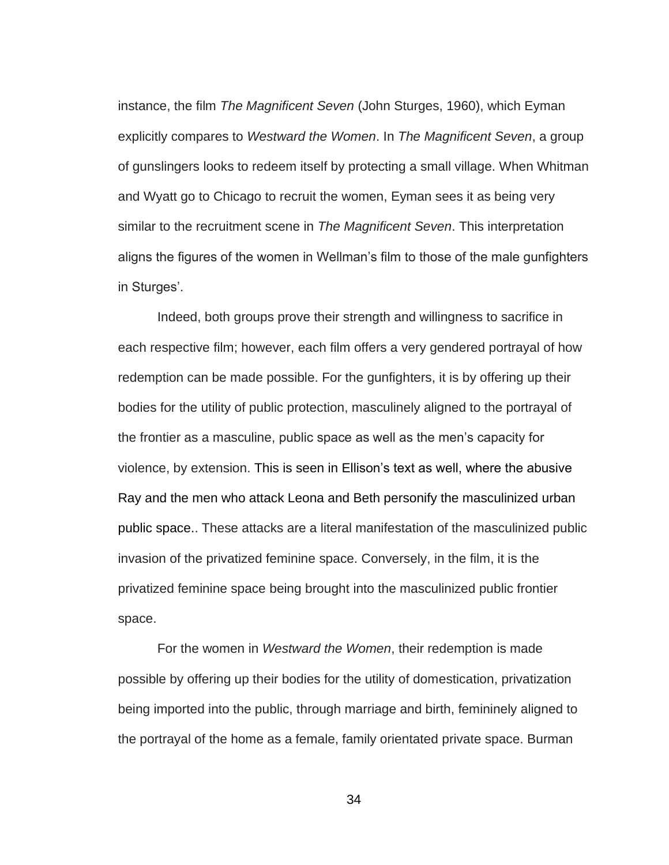instance, the film *The Magnificent Seven* (John Sturges, 1960), which Eyman explicitly compares to *Westward the Women*. In *The Magnificent Seven*, a group of gunslingers looks to redeem itself by protecting a small village. When Whitman and Wyatt go to Chicago to recruit the women, Eyman sees it as being very similar to the recruitment scene in *The Magnificent Seven*. This interpretation aligns the figures of the women in Wellman's film to those of the male gunfighters in Sturges'.

Indeed, both groups prove their strength and willingness to sacrifice in each respective film; however, each film offers a very gendered portrayal of how redemption can be made possible. For the gunfighters, it is by offering up their bodies for the utility of public protection, masculinely aligned to the portrayal of the frontier as a masculine, public space as well as the men's capacity for violence, by extension. This is seen in Ellison's text as well, where the abusive Ray and the men who attack Leona and Beth personify the masculinized urban public space.. These attacks are a literal manifestation of the masculinized public invasion of the privatized feminine space. Conversely, in the film, it is the privatized feminine space being brought into the masculinized public frontier space.

For the women in *Westward the Women*, their redemption is made possible by offering up their bodies for the utility of domestication, privatization being imported into the public, through marriage and birth, femininely aligned to the portrayal of the home as a female, family orientated private space. Burman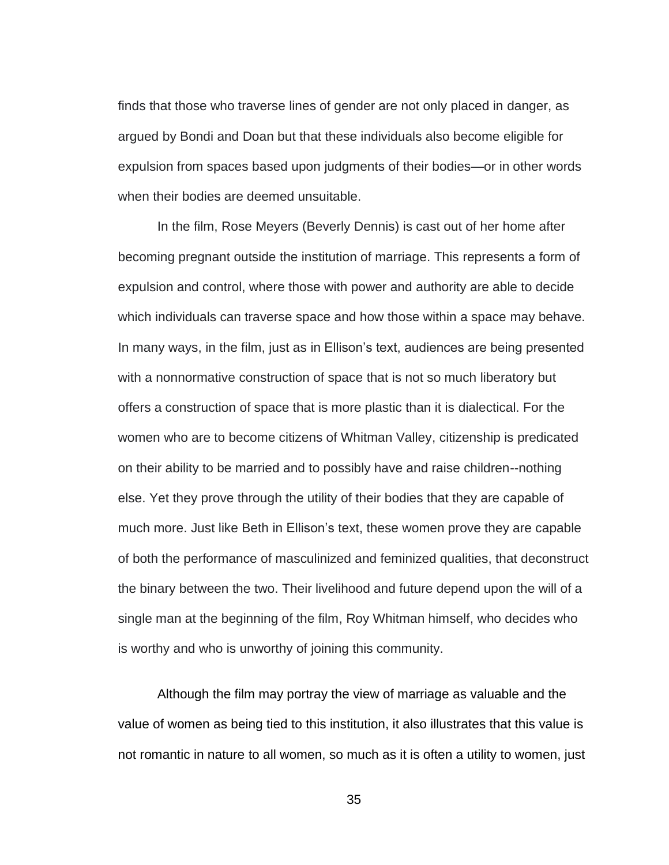finds that those who traverse lines of gender are not only placed in danger, as argued by Bondi and Doan but that these individuals also become eligible for expulsion from spaces based upon judgments of their bodies—or in other words when their bodies are deemed unsuitable.

In the film, Rose Meyers (Beverly Dennis) is cast out of her home after becoming pregnant outside the institution of marriage. This represents a form of expulsion and control, where those with power and authority are able to decide which individuals can traverse space and how those within a space may behave. In many ways, in the film, just as in Ellison's text, audiences are being presented with a nonnormative construction of space that is not so much liberatory but offers a construction of space that is more plastic than it is dialectical. For the women who are to become citizens of Whitman Valley, citizenship is predicated on their ability to be married and to possibly have and raise children--nothing else. Yet they prove through the utility of their bodies that they are capable of much more. Just like Beth in Ellison's text, these women prove they are capable of both the performance of masculinized and feminized qualities, that deconstruct the binary between the two. Their livelihood and future depend upon the will of a single man at the beginning of the film, Roy Whitman himself, who decides who is worthy and who is unworthy of joining this community.

Although the film may portray the view of marriage as valuable and the value of women as being tied to this institution, it also illustrates that this value is not romantic in nature to all women, so much as it is often a utility to women, just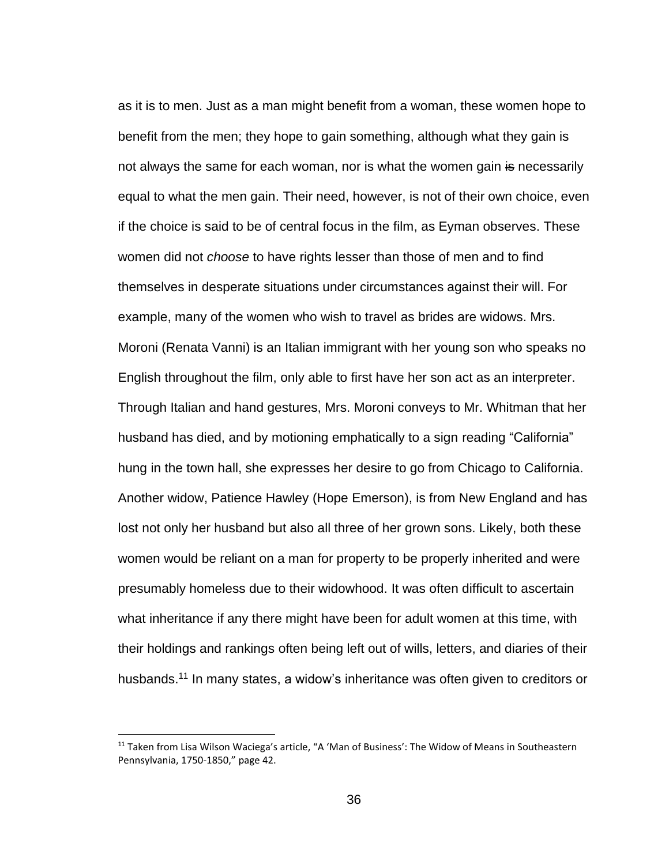as it is to men. Just as a man might benefit from a woman, these women hope to benefit from the men; they hope to gain something, although what they gain is not always the same for each woman, nor is what the women gain is necessarily equal to what the men gain. Their need, however, is not of their own choice, even if the choice is said to be of central focus in the film, as Eyman observes. These women did not *choose* to have rights lesser than those of men and to find themselves in desperate situations under circumstances against their will. For example, many of the women who wish to travel as brides are widows. Mrs. Moroni (Renata Vanni) is an Italian immigrant with her young son who speaks no English throughout the film, only able to first have her son act as an interpreter. Through Italian and hand gestures, Mrs. Moroni conveys to Mr. Whitman that her husband has died, and by motioning emphatically to a sign reading "California" hung in the town hall, she expresses her desire to go from Chicago to California. Another widow, Patience Hawley (Hope Emerson), is from New England and has lost not only her husband but also all three of her grown sons. Likely, both these women would be reliant on a man for property to be properly inherited and were presumably homeless due to their widowhood. It was often difficult to ascertain what inheritance if any there might have been for adult women at this time, with their holdings and rankings often being left out of wills, letters, and diaries of their husbands.<sup>11</sup> In many states, a widow's inheritance was often given to creditors or

 $11$  Taken from Lisa Wilson Waciega's article, "A 'Man of Business': The Widow of Means in Southeastern Pennsylvania, 1750-1850," page 42.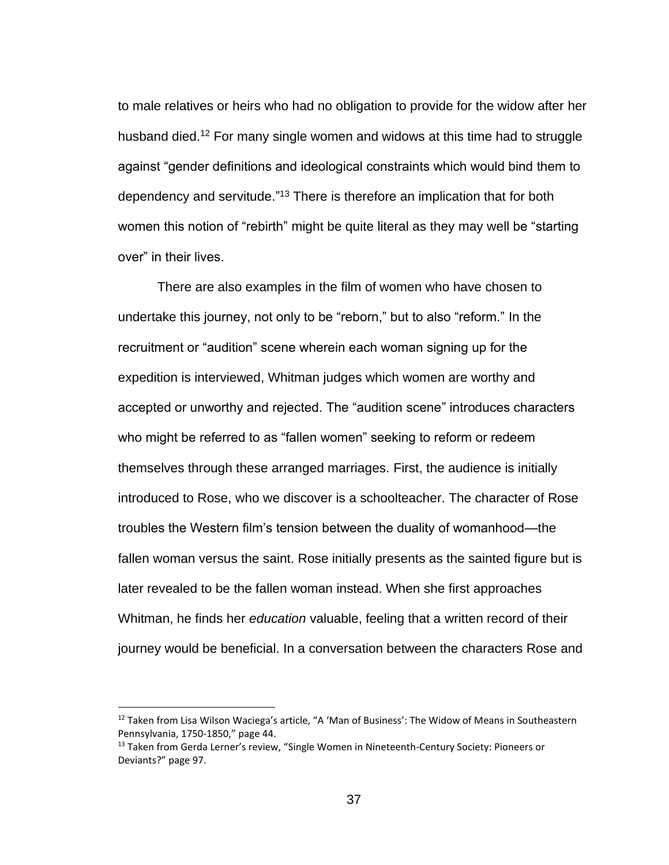to male relatives or heirs who had no obligation to provide for the widow after her husband died.<sup>12</sup> For many single women and widows at this time had to struggle against "gender definitions and ideological constraints which would bind them to dependency and servitude." <sup>13</sup> There is therefore an implication that for both women this notion of "rebirth" might be quite literal as they may well be "starting over" in their lives.

There are also examples in the film of women who have chosen to undertake this journey, not only to be "reborn," but to also "reform." In the recruitment or "audition" scene wherein each woman signing up for the expedition is interviewed, Whitman judges which women are worthy and accepted or unworthy and rejected. The "audition scene" introduces characters who might be referred to as "fallen women" seeking to reform or redeem themselves through these arranged marriages. First, the audience is initially introduced to Rose, who we discover is a schoolteacher. The character of Rose troubles the Western film's tension between the duality of womanhood—the fallen woman versus the saint. Rose initially presents as the sainted figure but is later revealed to be the fallen woman instead. When she first approaches Whitman, he finds her *education* valuable, feeling that a written record of their journey would be beneficial. In a conversation between the characters Rose and

<sup>&</sup>lt;sup>12</sup> Taken from Lisa Wilson Waciega's article, "A 'Man of Business': The Widow of Means in Southeastern Pennsylvania, 1750-1850," page 44.

<sup>&</sup>lt;sup>13</sup> Taken from Gerda Lerner's review, "Single Women in Nineteenth-Century Society: Pioneers or Deviants?" page 97.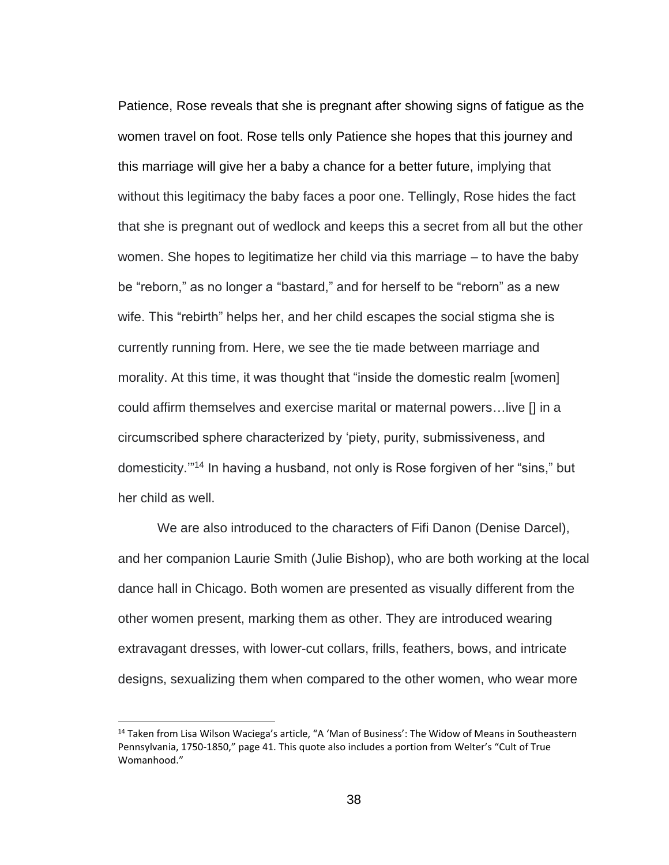Patience, Rose reveals that she is pregnant after showing signs of fatigue as the women travel on foot. Rose tells only Patience she hopes that this journey and this marriage will give her a baby a chance for a better future, implying that without this legitimacy the baby faces a poor one. Tellingly, Rose hides the fact that she is pregnant out of wedlock and keeps this a secret from all but the other women. She hopes to legitimatize her child via this marriage – to have the baby be "reborn," as no longer a "bastard," and for herself to be "reborn" as a new wife. This "rebirth" helps her, and her child escapes the social stigma she is currently running from. Here, we see the tie made between marriage and morality. At this time, it was thought that "inside the domestic realm [women] could affirm themselves and exercise marital or maternal powers…live [] in a circumscribed sphere characterized by 'piety, purity, submissiveness, and domesticity.'" <sup>14</sup> In having a husband, not only is Rose forgiven of her "sins," but her child as well.

We are also introduced to the characters of Fifi Danon (Denise Darcel), and her companion Laurie Smith (Julie Bishop), who are both working at the local dance hall in Chicago. Both women are presented as visually different from the other women present, marking them as other. They are introduced wearing extravagant dresses, with lower-cut collars, frills, feathers, bows, and intricate designs, sexualizing them when compared to the other women, who wear more

<sup>&</sup>lt;sup>14</sup> Taken from Lisa Wilson Waciega's article, "A 'Man of Business': The Widow of Means in Southeastern Pennsylvania, 1750-1850," page 41. This quote also includes a portion from Welter's "Cult of True Womanhood."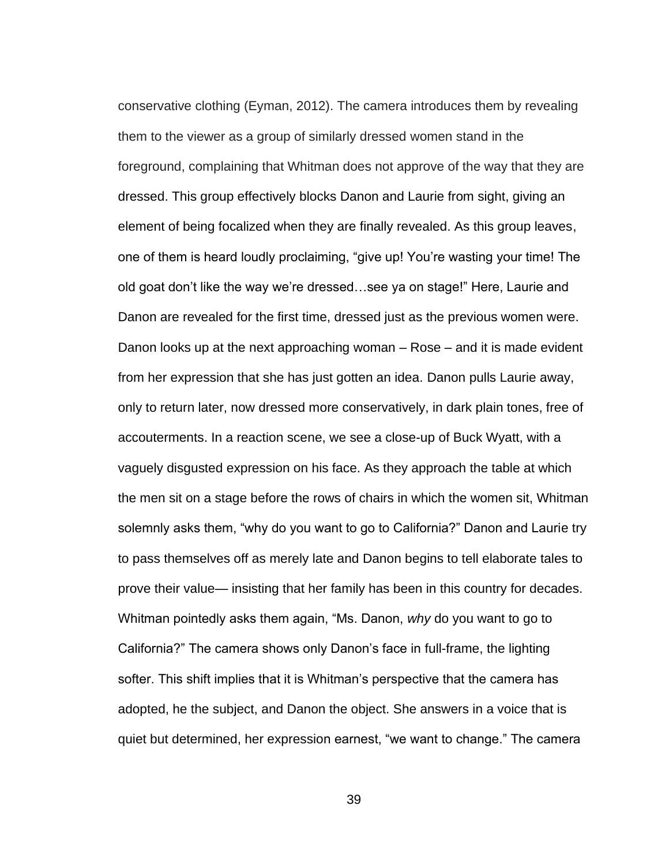conservative clothing (Eyman, 2012). The camera introduces them by revealing them to the viewer as a group of similarly dressed women stand in the foreground, complaining that Whitman does not approve of the way that they are dressed. This group effectively blocks Danon and Laurie from sight, giving an element of being focalized when they are finally revealed. As this group leaves, one of them is heard loudly proclaiming, "give up! You're wasting your time! The old goat don't like the way we're dressed…see ya on stage!" Here, Laurie and Danon are revealed for the first time, dressed just as the previous women were. Danon looks up at the next approaching woman – Rose – and it is made evident from her expression that she has just gotten an idea. Danon pulls Laurie away, only to return later, now dressed more conservatively, in dark plain tones, free of accouterments. In a reaction scene, we see a close-up of Buck Wyatt, with a vaguely disgusted expression on his face. As they approach the table at which the men sit on a stage before the rows of chairs in which the women sit, Whitman solemnly asks them, "why do you want to go to California?" Danon and Laurie try to pass themselves off as merely late and Danon begins to tell elaborate tales to prove their value— insisting that her family has been in this country for decades. Whitman pointedly asks them again, "Ms. Danon, *why* do you want to go to California?" The camera shows only Danon's face in full-frame, the lighting softer. This shift implies that it is Whitman's perspective that the camera has adopted, he the subject, and Danon the object. She answers in a voice that is quiet but determined, her expression earnest, "we want to change." The camera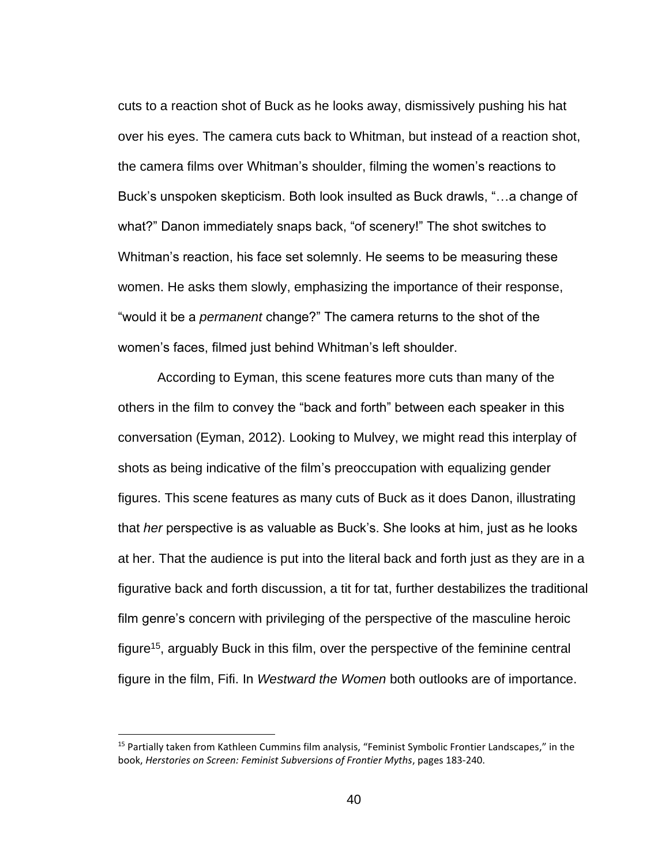cuts to a reaction shot of Buck as he looks away, dismissively pushing his hat over his eyes. The camera cuts back to Whitman, but instead of a reaction shot, the camera films over Whitman's shoulder, filming the women's reactions to Buck's unspoken skepticism. Both look insulted as Buck drawls, "…a change of what?" Danon immediately snaps back, "of scenery!" The shot switches to Whitman's reaction, his face set solemnly. He seems to be measuring these women. He asks them slowly, emphasizing the importance of their response, "would it be a *permanent* change?" The camera returns to the shot of the women's faces, filmed just behind Whitman's left shoulder.

According to Eyman, this scene features more cuts than many of the others in the film to convey the "back and forth" between each speaker in this conversation (Eyman, 2012). Looking to Mulvey, we might read this interplay of shots as being indicative of the film's preoccupation with equalizing gender figures. This scene features as many cuts of Buck as it does Danon, illustrating that *her* perspective is as valuable as Buck's. She looks at him, just as he looks at her. That the audience is put into the literal back and forth just as they are in a figurative back and forth discussion, a tit for tat, further destabilizes the traditional film genre's concern with privileging of the perspective of the masculine heroic figure<sup>15</sup>, arguably Buck in this film, over the perspective of the feminine central figure in the film, Fifi. In *Westward the Women* both outlooks are of importance.

<sup>&</sup>lt;sup>15</sup> Partially taken from Kathleen Cummins film analysis, "Feminist Symbolic Frontier Landscapes," in the book, *Herstories on Screen: Feminist Subversions of Frontier Myths*, pages 183-240.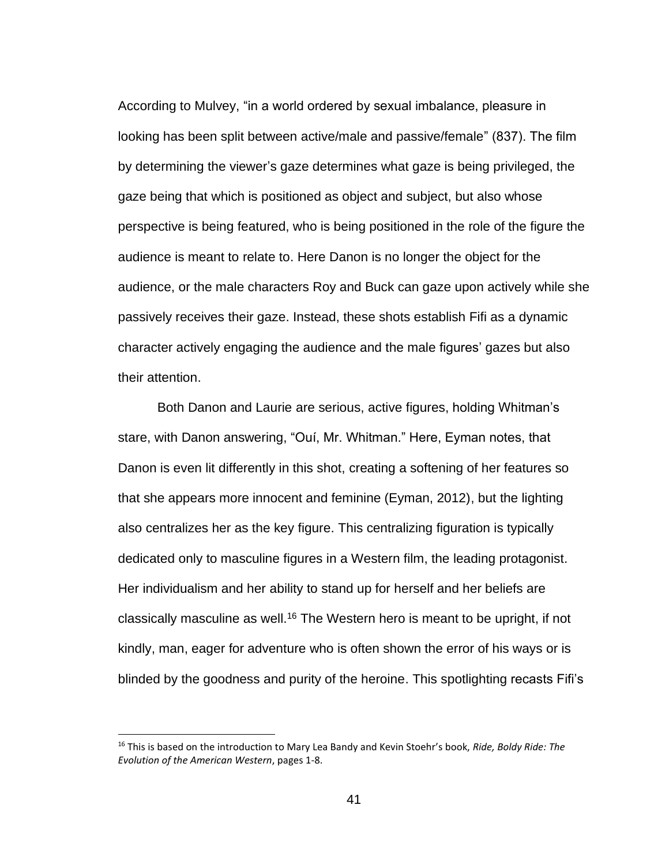According to Mulvey, "in a world ordered by sexual imbalance, pleasure in looking has been split between active/male and passive/female" (837). The film by determining the viewer's gaze determines what gaze is being privileged, the gaze being that which is positioned as object and subject, but also whose perspective is being featured, who is being positioned in the role of the figure the audience is meant to relate to. Here Danon is no longer the object for the audience, or the male characters Roy and Buck can gaze upon actively while she passively receives their gaze. Instead, these shots establish Fifi as a dynamic character actively engaging the audience and the male figures' gazes but also their attention.

Both Danon and Laurie are serious, active figures, holding Whitman's stare, with Danon answering, "Ouí, Mr. Whitman." Here, Eyman notes, that Danon is even lit differently in this shot, creating a softening of her features so that she appears more innocent and feminine (Eyman, 2012), but the lighting also centralizes her as the key figure. This centralizing figuration is typically dedicated only to masculine figures in a Western film, the leading protagonist. Her individualism and her ability to stand up for herself and her beliefs are classically masculine as well.<sup>16</sup> The Western hero is meant to be upright, if not kindly, man, eager for adventure who is often shown the error of his ways or is blinded by the goodness and purity of the heroine. This spotlighting recasts Fifi's

<sup>16</sup> This is based on the introduction to Mary Lea Bandy and Kevin Stoehr's book, *Ride, Boldy Ride: The Evolution of the American Western*, pages 1-8.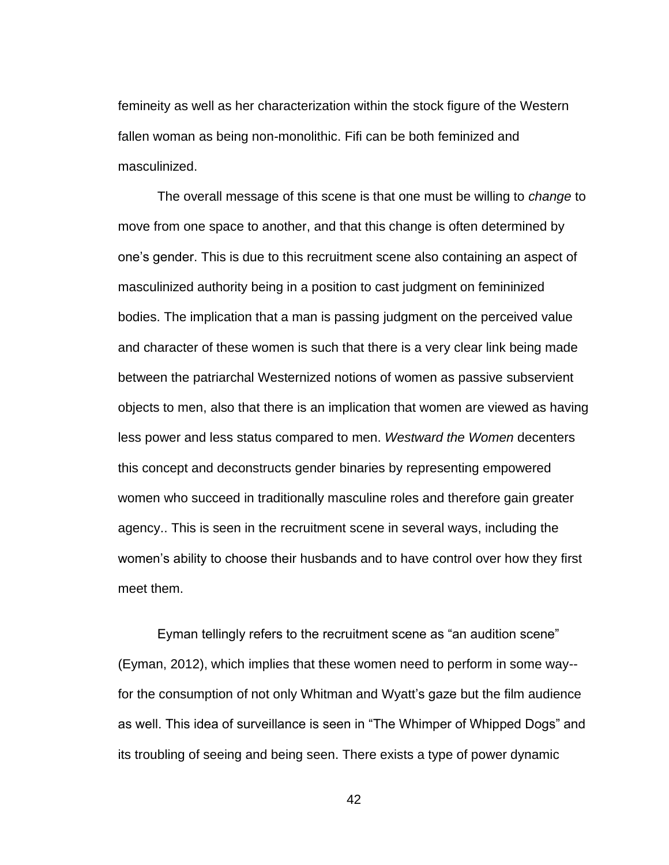femineity as well as her characterization within the stock figure of the Western fallen woman as being non-monolithic. Fifi can be both feminized and masculinized.

The overall message of this scene is that one must be willing to *change* to move from one space to another, and that this change is often determined by one's gender. This is due to this recruitment scene also containing an aspect of masculinized authority being in a position to cast judgment on femininized bodies. The implication that a man is passing judgment on the perceived value and character of these women is such that there is a very clear link being made between the patriarchal Westernized notions of women as passive subservient objects to men, also that there is an implication that women are viewed as having less power and less status compared to men. *Westward the Women* decenters this concept and deconstructs gender binaries by representing empowered women who succeed in traditionally masculine roles and therefore gain greater agency.. This is seen in the recruitment scene in several ways, including the women's ability to choose their husbands and to have control over how they first meet them.

Eyman tellingly refers to the recruitment scene as "an audition scene" (Eyman, 2012), which implies that these women need to perform in some way- for the consumption of not only Whitman and Wyatt's gaze but the film audience as well. This idea of surveillance is seen in "The Whimper of Whipped Dogs" and its troubling of seeing and being seen. There exists a type of power dynamic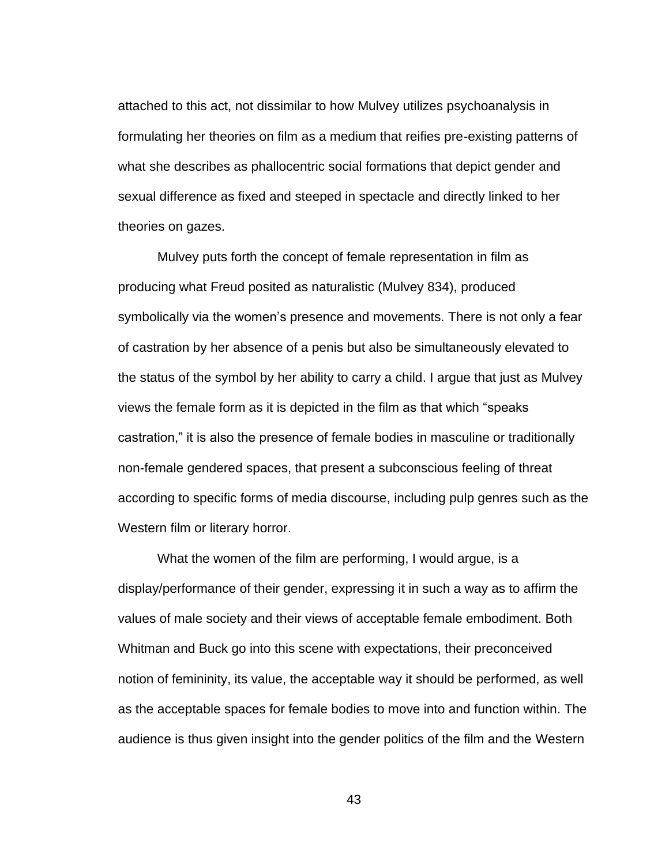attached to this act, not dissimilar to how Mulvey utilizes psychoanalysis in formulating her theories on film as a medium that reifies pre-existing patterns of what she describes as phallocentric social formations that depict gender and sexual difference as fixed and steeped in spectacle and directly linked to her theories on gazes.

Mulvey puts forth the concept of female representation in film as producing what Freud posited as naturalistic (Mulvey 834), produced symbolically via the women's presence and movements. There is not only a fear of castration by her absence of a penis but also be simultaneously elevated to the status of the symbol by her ability to carry a child. I argue that just as Mulvey views the female form as it is depicted in the film as that which "speaks castration," it is also the presence of female bodies in masculine or traditionally non-female gendered spaces, that present a subconscious feeling of threat according to specific forms of media discourse, including pulp genres such as the Western film or literary horror.

What the women of the film are performing, I would argue, is a display/performance of their gender, expressing it in such a way as to affirm the values of male society and their views of acceptable female embodiment. Both Whitman and Buck go into this scene with expectations, their preconceived notion of femininity, its value, the acceptable way it should be performed, as well as the acceptable spaces for female bodies to move into and function within. The audience is thus given insight into the gender politics of the film and the Western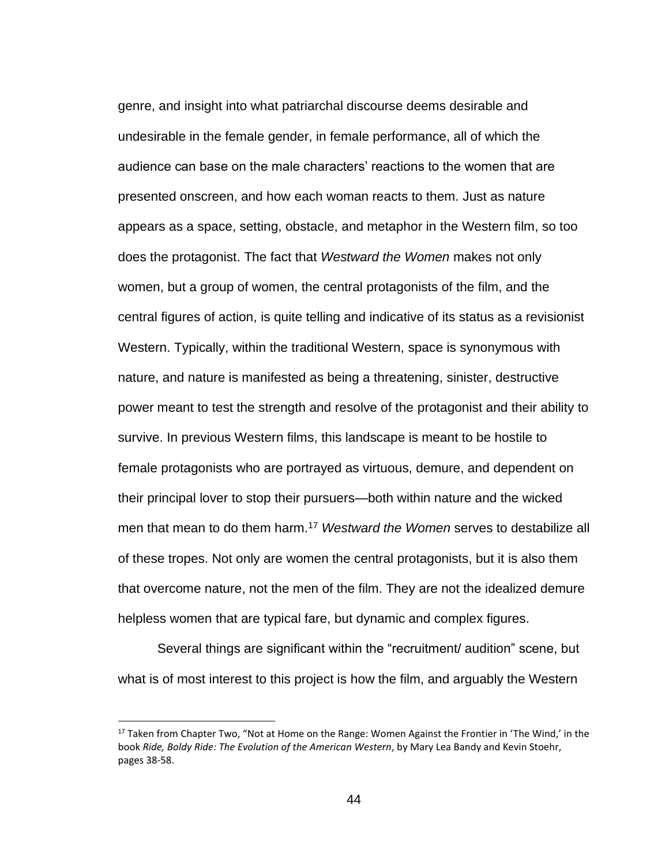genre, and insight into what patriarchal discourse deems desirable and undesirable in the female gender, in female performance, all of which the audience can base on the male characters' reactions to the women that are presented onscreen, and how each woman reacts to them. Just as nature appears as a space, setting, obstacle, and metaphor in the Western film, so too does the protagonist. The fact that *Westward the Women* makes not only women, but a group of women, the central protagonists of the film, and the central figures of action, is quite telling and indicative of its status as a revisionist Western. Typically, within the traditional Western, space is synonymous with nature, and nature is manifested as being a threatening, sinister, destructive power meant to test the strength and resolve of the protagonist and their ability to survive. In previous Western films, this landscape is meant to be hostile to female protagonists who are portrayed as virtuous, demure, and dependent on their principal lover to stop their pursuers—both within nature and the wicked men that mean to do them harm.<sup>17</sup> *Westward the Women* serves to destabilize all of these tropes. Not only are women the central protagonists, but it is also them that overcome nature, not the men of the film. They are not the idealized demure helpless women that are typical fare, but dynamic and complex figures.

Several things are significant within the "recruitment/ audition" scene, but what is of most interest to this project is how the film, and arguably the Western

<sup>&</sup>lt;sup>17</sup> Taken from Chapter Two, "Not at Home on the Range: Women Against the Frontier in 'The Wind,' in the book *Ride, Boldy Ride: The Evolution of the American Western*, by Mary Lea Bandy and Kevin Stoehr, pages 38-58.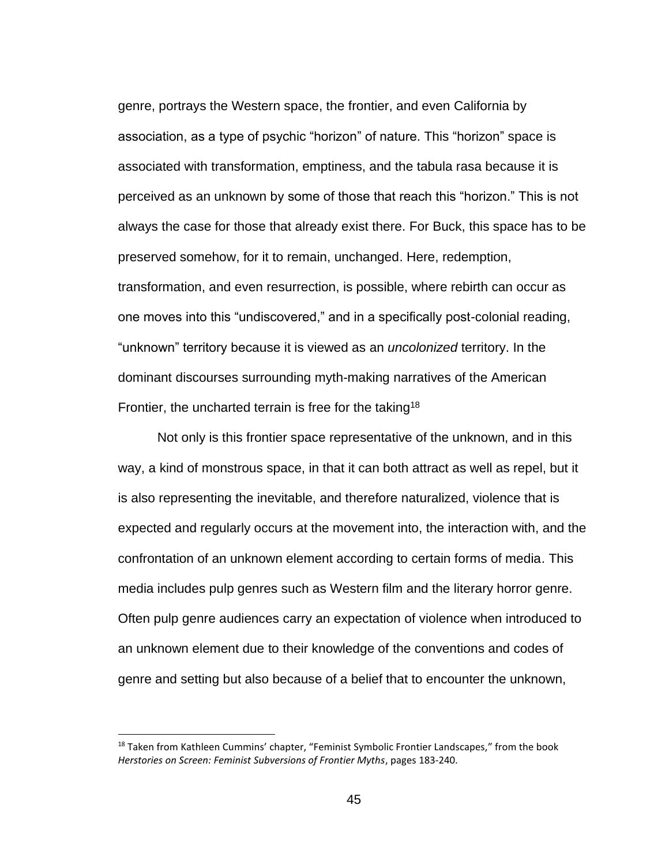genre, portrays the Western space, the frontier, and even California by association, as a type of psychic "horizon" of nature. This "horizon" space is associated with transformation, emptiness, and the tabula rasa because it is perceived as an unknown by some of those that reach this "horizon." This is not always the case for those that already exist there. For Buck, this space has to be preserved somehow, for it to remain, unchanged. Here, redemption, transformation, and even resurrection, is possible, where rebirth can occur as one moves into this "undiscovered," and in a specifically post-colonial reading, "unknown" territory because it is viewed as an *uncolonized* territory. In the dominant discourses surrounding myth-making narratives of the American Frontier, the uncharted terrain is free for the taking<sup>18</sup>

Not only is this frontier space representative of the unknown, and in this way, a kind of monstrous space, in that it can both attract as well as repel, but it is also representing the inevitable, and therefore naturalized, violence that is expected and regularly occurs at the movement into, the interaction with, and the confrontation of an unknown element according to certain forms of media. This media includes pulp genres such as Western film and the literary horror genre. Often pulp genre audiences carry an expectation of violence when introduced to an unknown element due to their knowledge of the conventions and codes of genre and setting but also because of a belief that to encounter the unknown,

 $18$  Taken from Kathleen Cummins' chapter, "Feminist Symbolic Frontier Landscapes," from the book *Herstories on Screen: Feminist Subversions of Frontier Myths*, pages 183-240.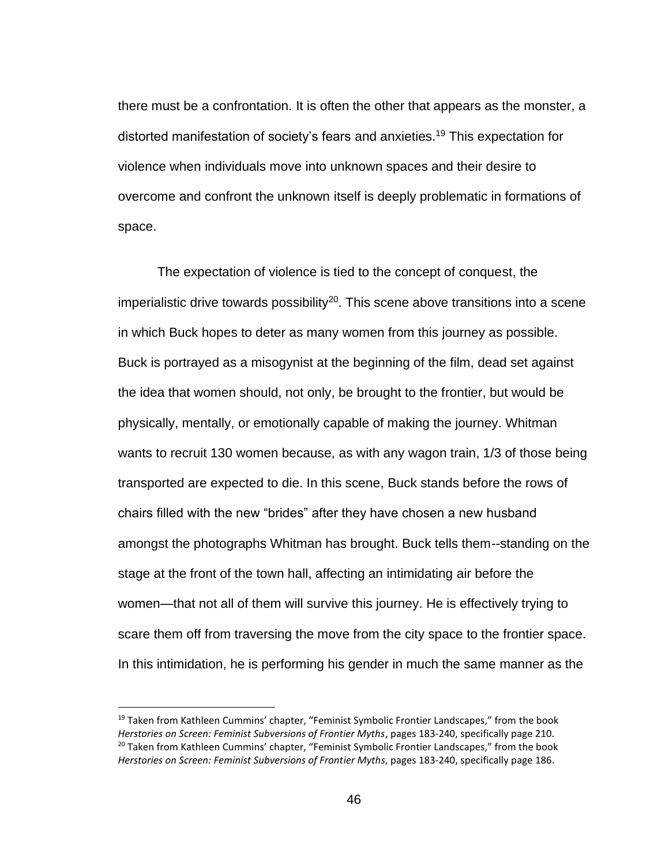there must be a confrontation. It is often the other that appears as the monster, a distorted manifestation of society's fears and anxieties.<sup>19</sup> This expectation for violence when individuals move into unknown spaces and their desire to overcome and confront the unknown itself is deeply problematic in formations of space.

The expectation of violence is tied to the concept of conquest, the imperialistic drive towards possibility<sup>20</sup>. This scene above transitions into a scene in which Buck hopes to deter as many women from this journey as possible. Buck is portrayed as a misogynist at the beginning of the film, dead set against the idea that women should, not only, be brought to the frontier, but would be physically, mentally, or emotionally capable of making the journey. Whitman wants to recruit 130 women because, as with any wagon train, 1/3 of those being transported are expected to die. In this scene, Buck stands before the rows of chairs filled with the new "brides" after they have chosen a new husband amongst the photographs Whitman has brought. Buck tells them--standing on the stage at the front of the town hall, affecting an intimidating air before the women—that not all of them will survive this journey. He is effectively trying to scare them off from traversing the move from the city space to the frontier space. In this intimidation, he is performing his gender in much the same manner as the

 $19$  Taken from Kathleen Cummins' chapter, "Feminist Symbolic Frontier Landscapes," from the book *Herstories on Screen: Feminist Subversions of Frontier Myths*, pages 183-240, specifically page 210. <sup>20</sup> Taken from Kathleen Cummins' chapter, "Feminist Symbolic Frontier Landscapes," from the book *Herstories on Screen: Feminist Subversions of Frontier Myths*, pages 183-240, specifically page 186.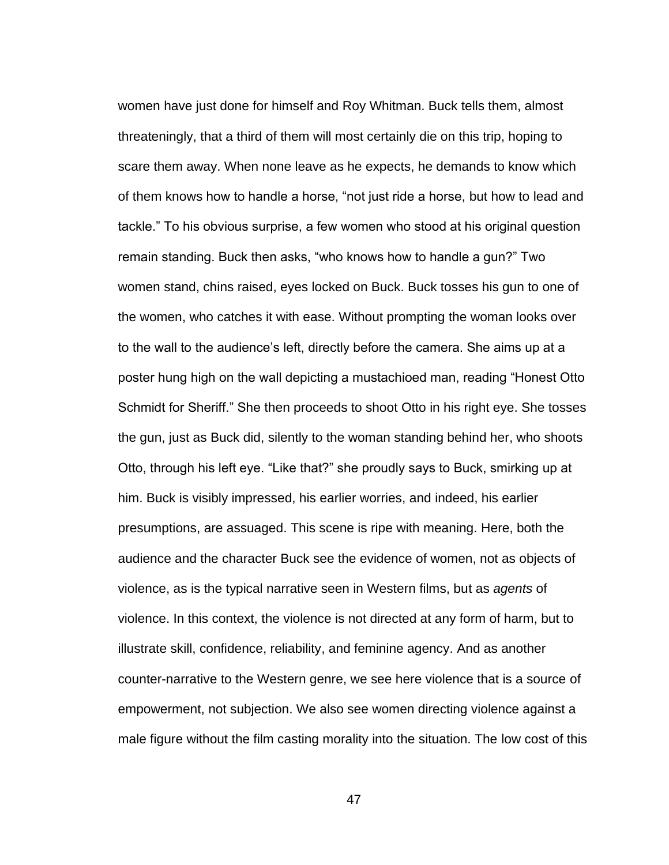women have just done for himself and Roy Whitman. Buck tells them, almost threateningly, that a third of them will most certainly die on this trip, hoping to scare them away. When none leave as he expects, he demands to know which of them knows how to handle a horse, "not just ride a horse, but how to lead and tackle." To his obvious surprise, a few women who stood at his original question remain standing. Buck then asks, "who knows how to handle a gun?" Two women stand, chins raised, eyes locked on Buck. Buck tosses his gun to one of the women, who catches it with ease. Without prompting the woman looks over to the wall to the audience's left, directly before the camera. She aims up at a poster hung high on the wall depicting a mustachioed man, reading "Honest Otto Schmidt for Sheriff." She then proceeds to shoot Otto in his right eye. She tosses the gun, just as Buck did, silently to the woman standing behind her, who shoots Otto, through his left eye. "Like that?" she proudly says to Buck, smirking up at him. Buck is visibly impressed, his earlier worries, and indeed, his earlier presumptions, are assuaged. This scene is ripe with meaning. Here, both the audience and the character Buck see the evidence of women, not as objects of violence, as is the typical narrative seen in Western films, but as *agents* of violence. In this context, the violence is not directed at any form of harm, but to illustrate skill, confidence, reliability, and feminine agency. And as another counter-narrative to the Western genre, we see here violence that is a source of empowerment, not subjection. We also see women directing violence against a male figure without the film casting morality into the situation. The low cost of this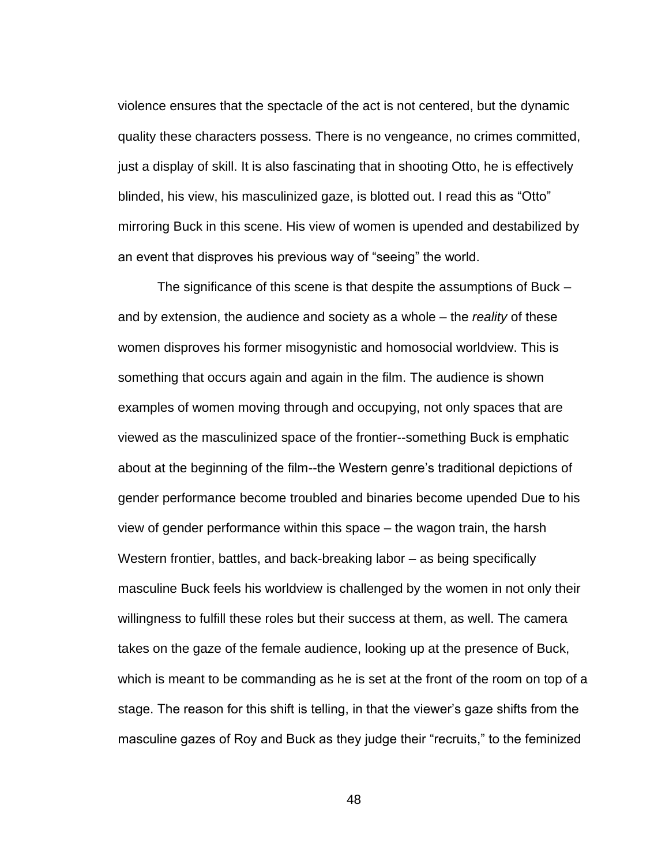violence ensures that the spectacle of the act is not centered, but the dynamic quality these characters possess. There is no vengeance, no crimes committed, just a display of skill. It is also fascinating that in shooting Otto, he is effectively blinded, his view, his masculinized gaze, is blotted out. I read this as "Otto" mirroring Buck in this scene. His view of women is upended and destabilized by an event that disproves his previous way of "seeing" the world.

The significance of this scene is that despite the assumptions of Buck – and by extension, the audience and society as a whole – the *reality* of these women disproves his former misogynistic and homosocial worldview. This is something that occurs again and again in the film. The audience is shown examples of women moving through and occupying, not only spaces that are viewed as the masculinized space of the frontier--something Buck is emphatic about at the beginning of the film--the Western genre's traditional depictions of gender performance become troubled and binaries become upended Due to his view of gender performance within this space – the wagon train, the harsh Western frontier, battles, and back-breaking labor – as being specifically masculine Buck feels his worldview is challenged by the women in not only their willingness to fulfill these roles but their success at them, as well. The camera takes on the gaze of the female audience, looking up at the presence of Buck, which is meant to be commanding as he is set at the front of the room on top of a stage. The reason for this shift is telling, in that the viewer's gaze shifts from the masculine gazes of Roy and Buck as they judge their "recruits," to the feminized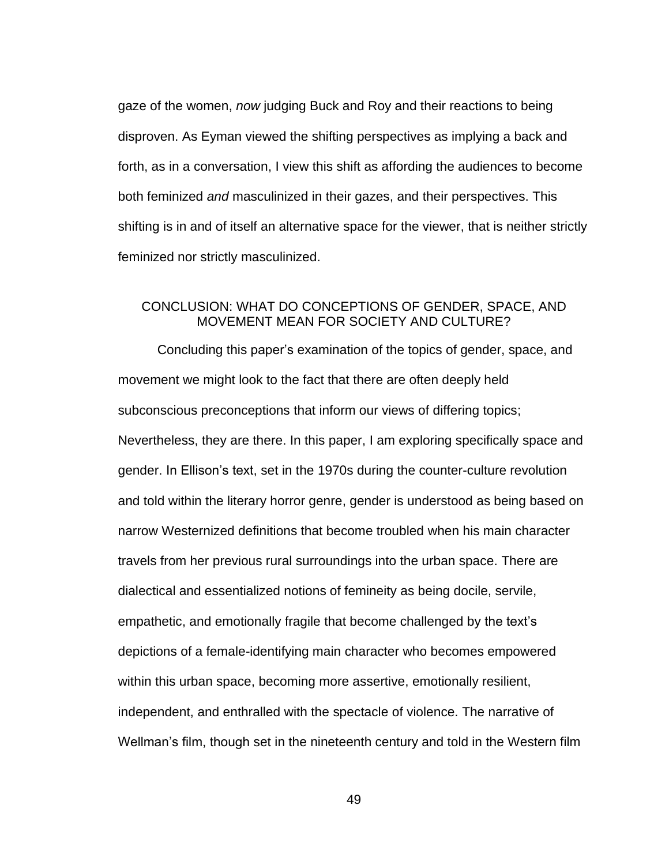gaze of the women, *now* judging Buck and Roy and their reactions to being disproven. As Eyman viewed the shifting perspectives as implying a back and forth, as in a conversation, I view this shift as affording the audiences to become both feminized *and* masculinized in their gazes, and their perspectives. This shifting is in and of itself an alternative space for the viewer, that is neither strictly feminized nor strictly masculinized.

### <span id="page-56-0"></span>CONCLUSION: WHAT DO CONCEPTIONS OF GENDER, SPACE, AND MOVEMENT MEAN FOR SOCIETY AND CULTURE?

Concluding this paper's examination of the topics of gender, space, and movement we might look to the fact that there are often deeply held subconscious preconceptions that inform our views of differing topics; Nevertheless, they are there. In this paper, I am exploring specifically space and gender. In Ellison's text, set in the 1970s during the counter-culture revolution and told within the literary horror genre, gender is understood as being based on narrow Westernized definitions that become troubled when his main character travels from her previous rural surroundings into the urban space. There are dialectical and essentialized notions of femineity as being docile, servile, empathetic, and emotionally fragile that become challenged by the text's depictions of a female-identifying main character who becomes empowered within this urban space, becoming more assertive, emotionally resilient, independent, and enthralled with the spectacle of violence. The narrative of Wellman's film, though set in the nineteenth century and told in the Western film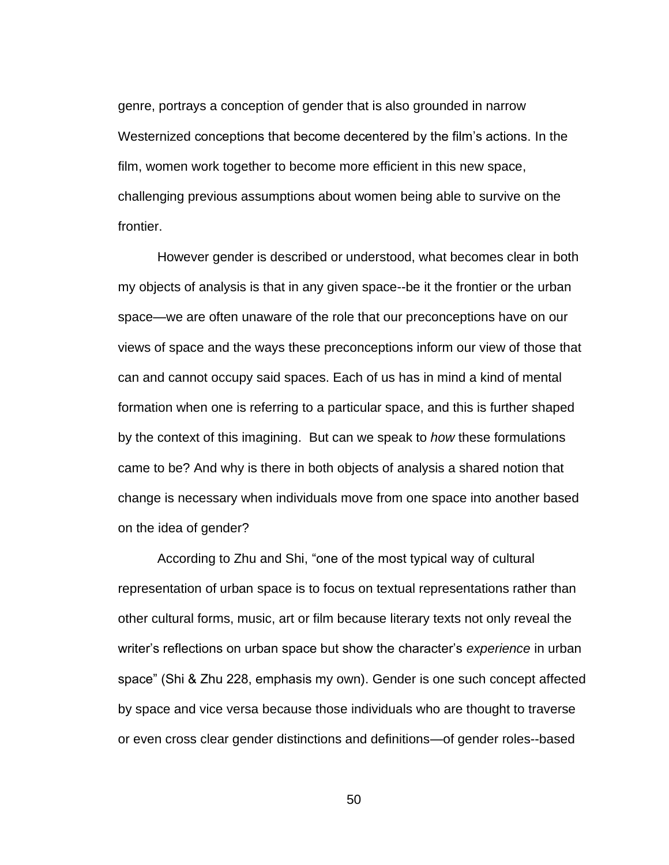genre, portrays a conception of gender that is also grounded in narrow Westernized conceptions that become decentered by the film's actions. In the film, women work together to become more efficient in this new space, challenging previous assumptions about women being able to survive on the frontier.

However gender is described or understood, what becomes clear in both my objects of analysis is that in any given space--be it the frontier or the urban space—we are often unaware of the role that our preconceptions have on our views of space and the ways these preconceptions inform our view of those that can and cannot occupy said spaces. Each of us has in mind a kind of mental formation when one is referring to a particular space, and this is further shaped by the context of this imagining. But can we speak to *how* these formulations came to be? And why is there in both objects of analysis a shared notion that change is necessary when individuals move from one space into another based on the idea of gender?

According to Zhu and Shi, "one of the most typical way of cultural representation of urban space is to focus on textual representations rather than other cultural forms, music, art or film because literary texts not only reveal the writer's reflections on urban space but show the character's *experience* in urban space" (Shi & Zhu 228, emphasis my own). Gender is one such concept affected by space and vice versa because those individuals who are thought to traverse or even cross clear gender distinctions and definitions—of gender roles--based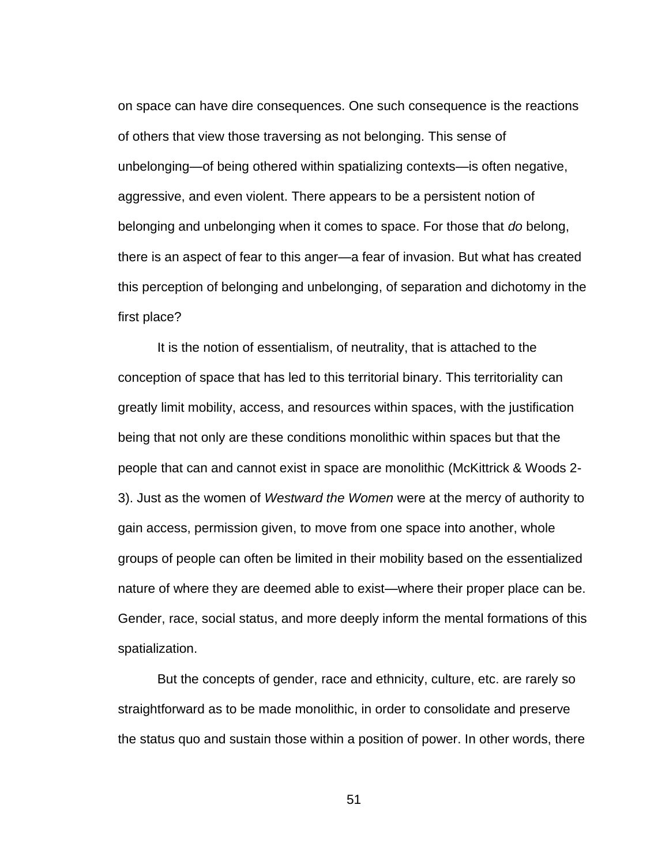on space can have dire consequences. One such consequence is the reactions of others that view those traversing as not belonging. This sense of unbelonging—of being othered within spatializing contexts—is often negative, aggressive, and even violent. There appears to be a persistent notion of belonging and unbelonging when it comes to space. For those that *do* belong, there is an aspect of fear to this anger—a fear of invasion. But what has created this perception of belonging and unbelonging, of separation and dichotomy in the first place?

It is the notion of essentialism, of neutrality, that is attached to the conception of space that has led to this territorial binary. This territoriality can greatly limit mobility, access, and resources within spaces, with the justification being that not only are these conditions monolithic within spaces but that the people that can and cannot exist in space are monolithic (McKittrick & Woods 2- 3). Just as the women of *Westward the Women* were at the mercy of authority to gain access, permission given, to move from one space into another, whole groups of people can often be limited in their mobility based on the essentialized nature of where they are deemed able to exist—where their proper place can be. Gender, race, social status, and more deeply inform the mental formations of this spatialization.

But the concepts of gender, race and ethnicity, culture, etc. are rarely so straightforward as to be made monolithic, in order to consolidate and preserve the status quo and sustain those within a position of power. In other words, there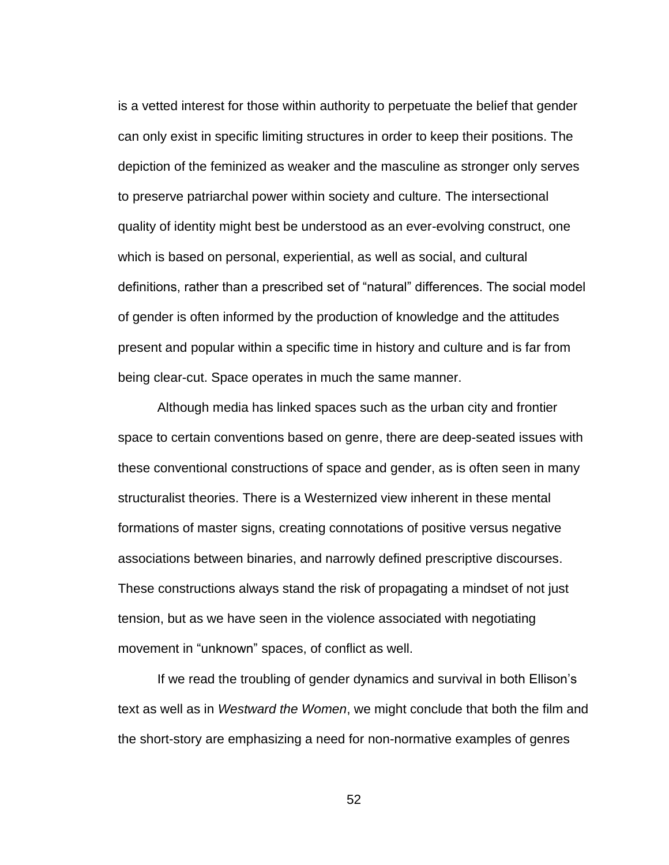is a vetted interest for those within authority to perpetuate the belief that gender can only exist in specific limiting structures in order to keep their positions. The depiction of the feminized as weaker and the masculine as stronger only serves to preserve patriarchal power within society and culture. The intersectional quality of identity might best be understood as an ever-evolving construct, one which is based on personal, experiential, as well as social, and cultural definitions, rather than a prescribed set of "natural" differences. The social model of gender is often informed by the production of knowledge and the attitudes present and popular within a specific time in history and culture and is far from being clear-cut. Space operates in much the same manner.

Although media has linked spaces such as the urban city and frontier space to certain conventions based on genre, there are deep-seated issues with these conventional constructions of space and gender, as is often seen in many structuralist theories. There is a Westernized view inherent in these mental formations of master signs, creating connotations of positive versus negative associations between binaries, and narrowly defined prescriptive discourses. These constructions always stand the risk of propagating a mindset of not just tension, but as we have seen in the violence associated with negotiating movement in "unknown" spaces, of conflict as well.

If we read the troubling of gender dynamics and survival in both Ellison's text as well as in *Westward the Women*, we might conclude that both the film and the short-story are emphasizing a need for non-normative examples of genres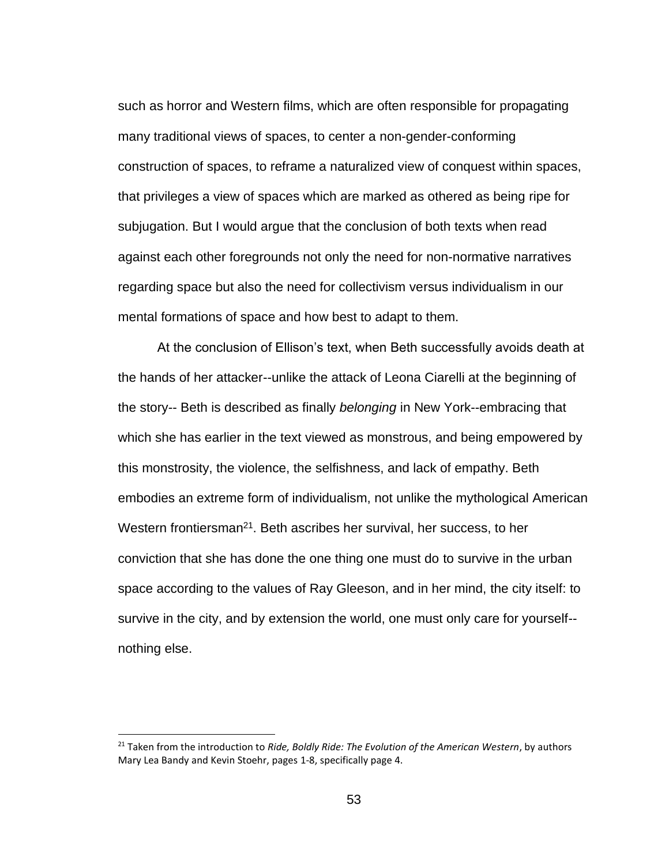such as horror and Western films, which are often responsible for propagating many traditional views of spaces, to center a non-gender-conforming construction of spaces, to reframe a naturalized view of conquest within spaces, that privileges a view of spaces which are marked as othered as being ripe for subjugation. But I would argue that the conclusion of both texts when read against each other foregrounds not only the need for non-normative narratives regarding space but also the need for collectivism versus individualism in our mental formations of space and how best to adapt to them.

At the conclusion of Ellison's text, when Beth successfully avoids death at the hands of her attacker--unlike the attack of Leona Ciarelli at the beginning of the story-- Beth is described as finally *belonging* in New York--embracing that which she has earlier in the text viewed as monstrous, and being empowered by this monstrosity, the violence, the selfishness, and lack of empathy. Beth embodies an extreme form of individualism, not unlike the mythological American Western frontiersman<sup>21</sup>. Beth ascribes her survival, her success, to her conviction that she has done the one thing one must do to survive in the urban space according to the values of Ray Gleeson, and in her mind, the city itself: to survive in the city, and by extension the world, one must only care for yourself- nothing else.

<sup>21</sup> Taken from the introduction to *Ride, Boldly Ride: The Evolution of the American Western*, by authors Mary Lea Bandy and Kevin Stoehr, pages 1-8, specifically page 4.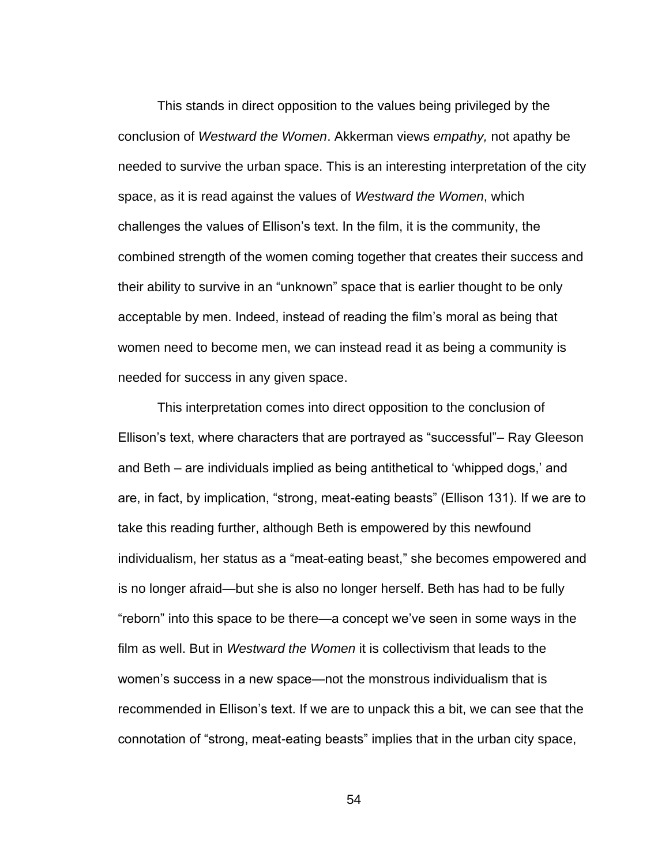This stands in direct opposition to the values being privileged by the conclusion of *Westward the Women*. Akkerman views *empathy,* not apathy be needed to survive the urban space. This is an interesting interpretation of the city space, as it is read against the values of *Westward the Women*, which challenges the values of Ellison's text. In the film, it is the community, the combined strength of the women coming together that creates their success and their ability to survive in an "unknown" space that is earlier thought to be only acceptable by men. Indeed, instead of reading the film's moral as being that women need to become men, we can instead read it as being a community is needed for success in any given space.

This interpretation comes into direct opposition to the conclusion of Ellison's text, where characters that are portrayed as "successful"– Ray Gleeson and Beth – are individuals implied as being antithetical to 'whipped dogs,' and are, in fact, by implication, "strong, meat-eating beasts" (Ellison 131). If we are to take this reading further, although Beth is empowered by this newfound individualism, her status as a "meat-eating beast," she becomes empowered and is no longer afraid—but she is also no longer herself. Beth has had to be fully "reborn" into this space to be there—a concept we've seen in some ways in the film as well. But in *Westward the Women* it is collectivism that leads to the women's success in a new space—not the monstrous individualism that is recommended in Ellison's text. If we are to unpack this a bit, we can see that the connotation of "strong, meat-eating beasts" implies that in the urban city space,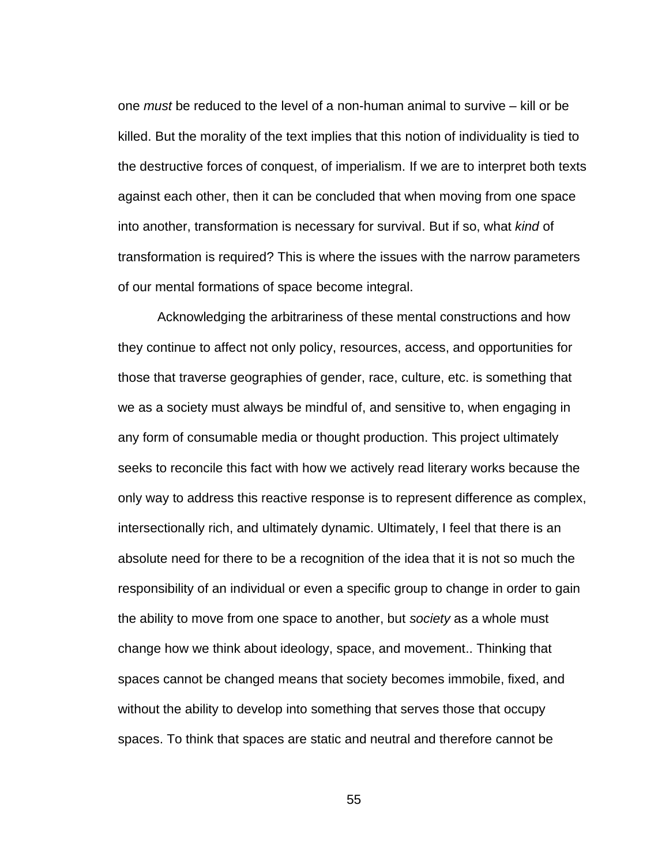one *must* be reduced to the level of a non-human animal to survive – kill or be killed. But the morality of the text implies that this notion of individuality is tied to the destructive forces of conquest, of imperialism. If we are to interpret both texts against each other, then it can be concluded that when moving from one space into another, transformation is necessary for survival. But if so, what *kind* of transformation is required? This is where the issues with the narrow parameters of our mental formations of space become integral.

Acknowledging the arbitrariness of these mental constructions and how they continue to affect not only policy, resources, access, and opportunities for those that traverse geographies of gender, race, culture, etc. is something that we as a society must always be mindful of, and sensitive to, when engaging in any form of consumable media or thought production. This project ultimately seeks to reconcile this fact with how we actively read literary works because the only way to address this reactive response is to represent difference as complex, intersectionally rich, and ultimately dynamic. Ultimately, I feel that there is an absolute need for there to be a recognition of the idea that it is not so much the responsibility of an individual or even a specific group to change in order to gain the ability to move from one space to another, but *society* as a whole must change how we think about ideology, space, and movement.. Thinking that spaces cannot be changed means that society becomes immobile, fixed, and without the ability to develop into something that serves those that occupy spaces. To think that spaces are static and neutral and therefore cannot be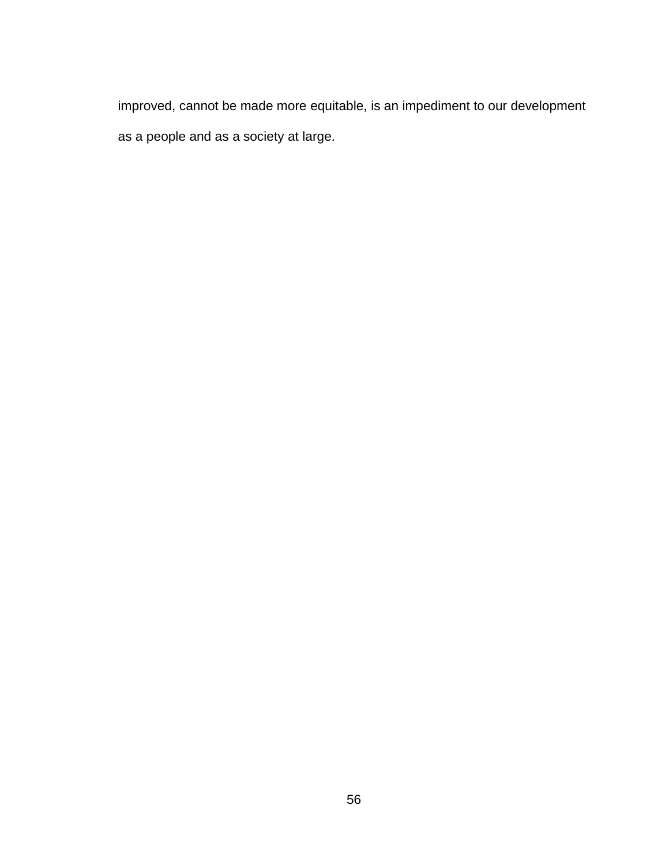improved, cannot be made more equitable, is an impediment to our development as a people and as a society at large.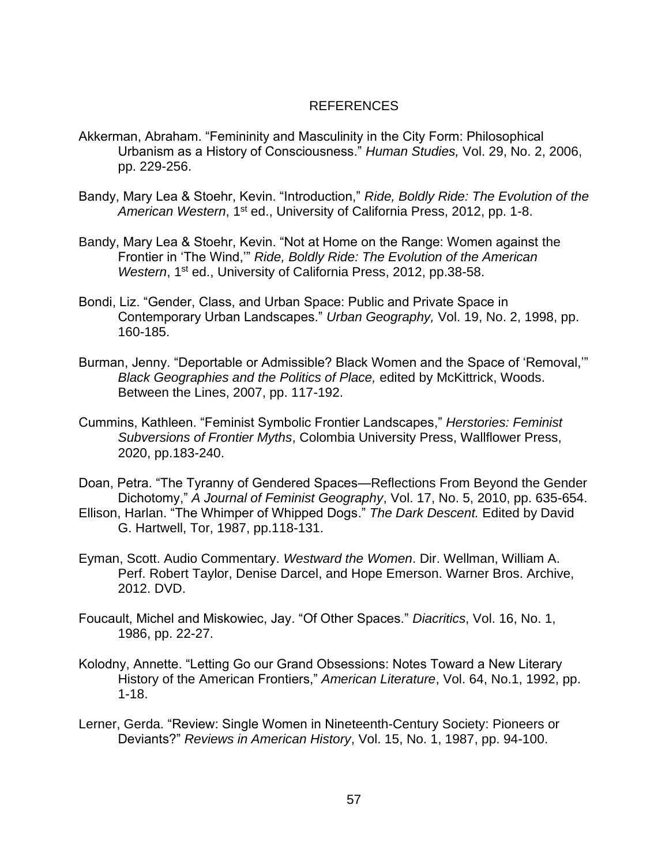### REFERENCES

- <span id="page-64-0"></span>Akkerman, Abraham. "Femininity and Masculinity in the City Form: Philosophical Urbanism as a History of Consciousness." *Human Studies,* Vol. 29, No. 2, 2006, pp. 229-256.
- Bandy, Mary Lea & Stoehr, Kevin. "Introduction," *Ride, Boldly Ride: The Evolution of the*  American Western, 1<sup>st</sup> ed., University of California Press, 2012, pp. 1-8.
- Bandy, Mary Lea & Stoehr, Kevin. "Not at Home on the Range: Women against the Frontier in 'The Wind,'" *Ride, Boldly Ride: The Evolution of the American*  Western, 1<sup>st</sup> ed., University of California Press, 2012, pp.38-58.
- Bondi, Liz. "Gender, Class, and Urban Space: Public and Private Space in Contemporary Urban Landscapes." *Urban Geography,* Vol. 19, No. 2, 1998, pp. 160-185.
- Burman, Jenny. "Deportable or Admissible? Black Women and the Space of 'Removal,'" *Black Geographies and the Politics of Place,* edited by McKittrick, Woods. Between the Lines, 2007, pp. 117-192.
- Cummins, Kathleen. "Feminist Symbolic Frontier Landscapes," *Herstories: Feminist Subversions of Frontier Myths*, Colombia University Press, Wallflower Press, 2020, pp.183-240.
- Doan, Petra. "The Tyranny of Gendered Spaces—Reflections From Beyond the Gender Dichotomy," *A Journal of Feminist Geography*, Vol. 17, No. 5, 2010, pp. 635-654.
- Ellison, Harlan. "The Whimper of Whipped Dogs." *The Dark Descent.* Edited by David G. Hartwell, Tor, 1987, pp.118-131.
- Eyman, Scott. Audio Commentary. *Westward the Women*. Dir. Wellman, William A. Perf. Robert Taylor, Denise Darcel, and Hope Emerson. Warner Bros. Archive, 2012. DVD.
- Foucault, Michel and Miskowiec, Jay. "Of Other Spaces." *Diacritics*, Vol. 16, No. 1, 1986, pp. 22-27.
- Kolodny, Annette. "Letting Go our Grand Obsessions: Notes Toward a New Literary History of the American Frontiers," *American Literature*, Vol. 64, No.1, 1992, pp. 1-18.
- Lerner, Gerda. "Review: Single Women in Nineteenth-Century Society: Pioneers or Deviants?" *Reviews in American History*, Vol. 15, No. 1, 1987, pp. 94-100.